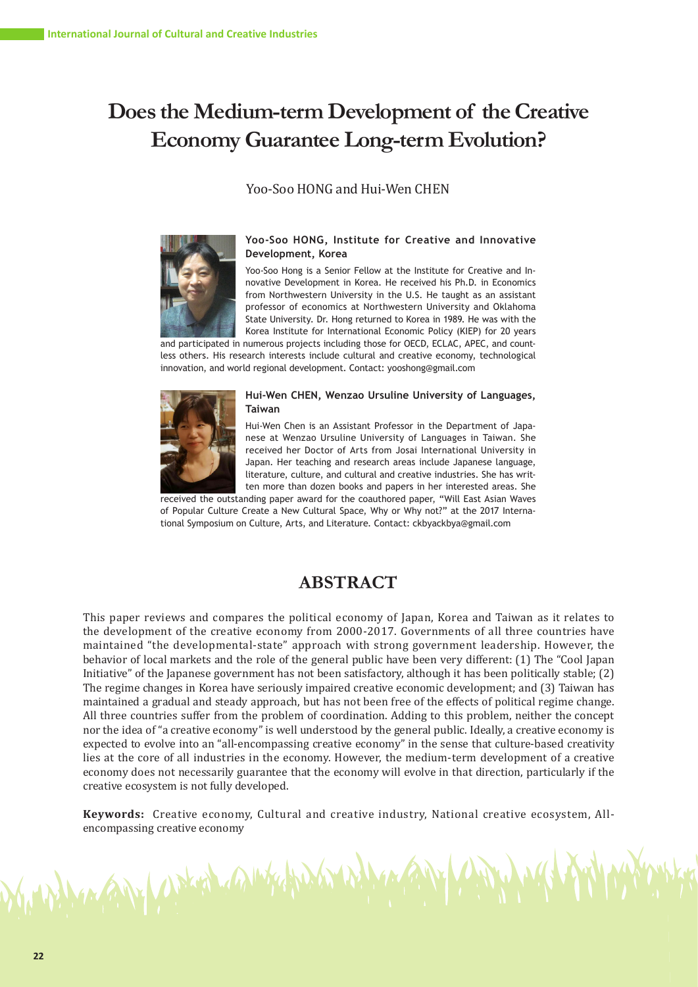# **Does the Medium-term Development of the Creative Economy Guarantee Long-term Evolution?**

# Yoo-Soo HONG and Hui-Wen CHEN



#### **Yoo-Soo HONG, Institute for Creative and Innovative Development, Korea**

Yoo-Soo Hong is a Senior Fellow at the Institute for Creative and Innovative Development in Korea. He received his Ph.D. in Economics from Northwestern University in the U.S. He taught as an assistant professor of economics at Northwestern University and Oklahoma State University. Dr. Hong returned to Korea in 1989. He was with the Korea Institute for International Economic Policy (KIEP) for 20 years

and participated in numerous projects including those for OECD, ECLAC, APEC, and countless others. His research interests include cultural and creative economy, technological innovation, and world regional development. Contact: yooshong@gmail.com



ANY WALES CAMBER

#### **Hui-Wen CHEN, Wenzao Ursuline University of Languages, Taiwan**

Hui-Wen Chen is an Assistant Professor in the Department of Japanese at Wenzao Ursuline University of Languages in Taiwan. She received her Doctor of Arts from Josai International University in Japan. Her teaching and research areas include Japanese language, literature, culture, and cultural and creative industries. She has written more than dozen books and papers in her interested areas. She

received the outstanding paper award for the coauthored paper, "Will East Asian Waves of Popular Culture Create a New Cultural Space, Why or Why not?" at the 2017 International Symposium on Culture, Arts, and Literature. Contact: ckbyackbya@gmail.com

# **ABSTRACT**

This paper reviews and compares the political economy of Japan, Korea and Taiwan as it relates to the development of the creative economy from 2000-2017. Governments of all three countries have maintained "the developmental-state" approach with strong government leadership. However, the behavior of local markets and the role of the general public have been very different: (1) The "Cool Japan Initiative" of the Japanese government has not been satisfactory, although it has been politically stable; (2) The regime changes in Korea have seriously impaired creative economic development; and (3) Taiwan has maintained a gradual and steady approach, but has not been free of the effects of political regime change. All three countries suffer from the problem of coordination. Adding to this problem, neither the concept nor the idea of "a creative economy" is well understood by the general public. Ideally, a creative economy is expected to evolve into an "all-encompassing creative economy" in the sense that culture-based creativity lies at the core of all industries in the economy. However, the medium-term development of a creative economy does not necessarily guarantee that the economy will evolve in that direction, particularly if the creative ecosystem is not fully developed.

**Keywords:** Creative economy, Cultural and creative industry, National creative ecosystem, Allencompassing creative economy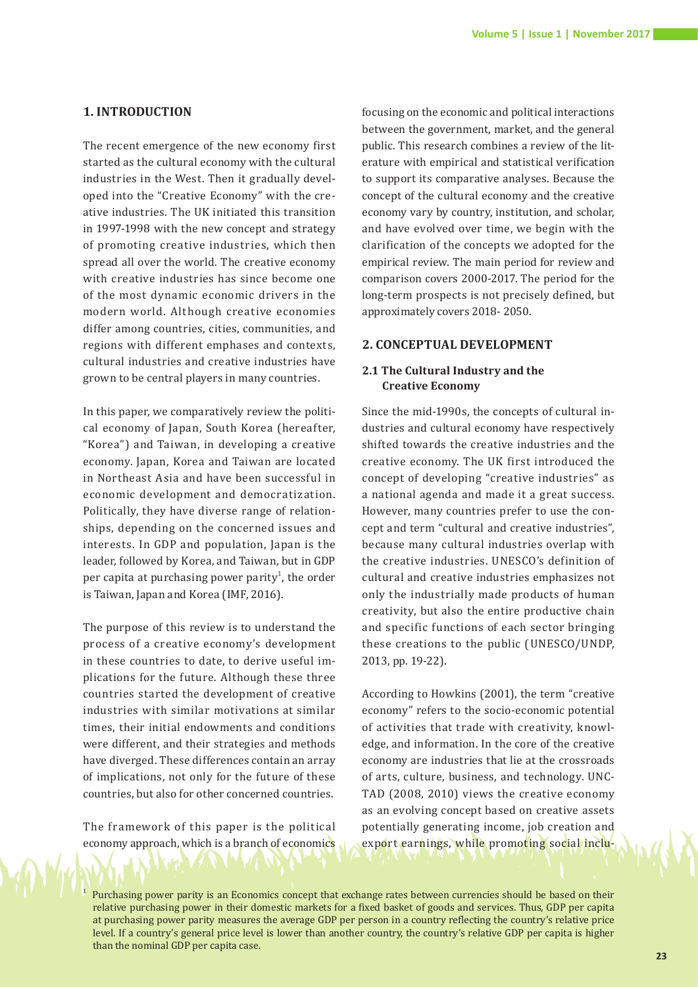#### **1. INTRODUCTION**

The recent emergence of the new economy first started as the cultural economy with the cultural industries in the West. Then it gradually developed into the "Creative Economy" with the creative industries. The UK initiated this transition in 1997-1998 with the new concept and strategy of promoting creative industries, which then spread all over the world. The creative economy with creative industries has since become one of the most dynamic economic drivers in the modern world. Although creative economies differ among countries, cities, communities, and regions with different emphases and contexts, cultural industries and creative industries have grown to be central players in many countries.

In this paper, we comparatively review the political economy of Japan, South Korea (hereafter, "Korea") and Taiwan, in developing a creative economy. Japan, Korea and Taiwan are located in Northeast Asia and have been successful in economic development and democratization. Politically, they have diverse range of relationships, depending on the concerned issues and interests. In GDP and population, Japan is the leader, followed by Korea, and Taiwan, but in GDP per capita at purchasing power parity<sup>1</sup>, the order is Taiwan, Japan and Korea (IMF, 2016).

The purpose of this review is to understand the process of a creative economy's development in these countries to date, to derive useful implications for the future. Although these three countries started the development of creative industries with similar motivations at similar times, their initial endowments and conditions were different, and their strategies and methods have diverged. These differences contain an array of implications, not only for the future of these countries, but also for other concerned countries.

The framework of this paper is the political economy approach, which is a branch of economics

1

focusing on the economic and political interactions between the government, market, and the general public. This research combines a review of the literature with empirical and statistical verification to support its comparative analyses. Because the concept of the cultural economy and the creative economy vary by country, institution, and scholar, and have evolved over time, we begin with the clarification of the concepts we adopted for the empirical review. The main period for review and comparison covers 2000-2017. The period for the long-term prospects is not precisely defined, but approximately covers 2018- 2050.

# **2. CONCEPTUAL DEVELOPMENT**

# **2.1 The Cultural Industry and the Creative Economy**

Since the mid-1990s, the concepts of cultural industries and cultural economy have respectively shifted towards the creative industries and the creative economy. The UK first introduced the concept of developing "creative industries" as a national agenda and made it a great success. However, many countries prefer to use the concept and term "cultural and creative industries", because many cultural industries overlap with the creative industries. UNESCO's definition of cultural and creative industries emphasizes not only the industrially made products of human creativity, but also the entire productive chain and specific functions of each sector bringing these creations to the public (UNESCO/UNDP, 2013, pp. 19-22).

According to Howkins (2001), the term "creative economy" refers to the socio-economic potential of activities that trade with creativity, knowledge, and information. In the core of the creative economy are industries that lie at the crossroads of arts, culture, business, and technology. UNC-TAD (2008, 2010) views the creative economy as an evolving concept based on creative assets potentially generating income, job creation and export earnings, while promoting social inclu-

 Purchasing power parity is an Economics concept that exchange rates between currencies should be based on their relative purchasing power in their domestic markets for a fixed basket of goods and services. Thus, GDP per capita at purchasing power parity measures the average GDP per person in a country reflecting the country's relative price level. If a country's general price level is lower than another country, the country's relative GDP per capita is higher than the nominal GDP per capita case.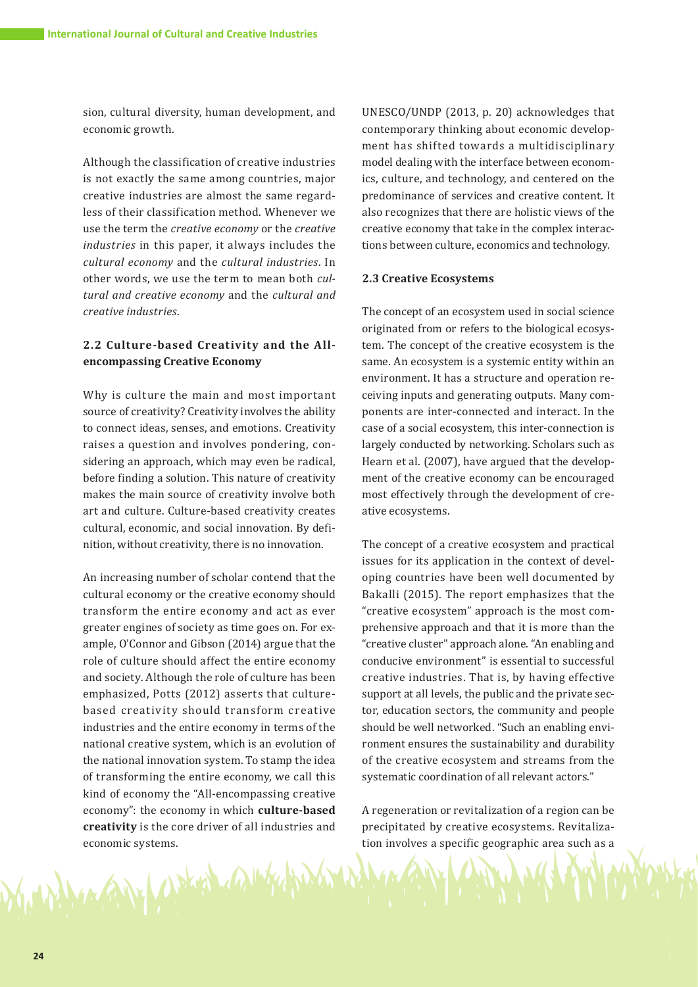sion, cultural diversity, human development, and economic growth.

Although the classification of creative industries is not exactly the same among countries, major creative industries are almost the same regardless of their classification method. Whenever we use the term the *creative economy* or the *creative industries* in this paper, it always includes the *cultural economy* and the *cultural industries*. In other words, we use the term to mean both *cultural and creative economy* and the *cultural and creative industries*.

# **2.2 Culture-based Creativity and the Allencompassing Creative Economy**

Why is culture the main and most important source of creativity? Creativity involves the ability to connect ideas, senses, and emotions. Creativity raises a question and involves pondering, considering an approach, which may even be radical, before finding a solution. This nature of creativity makes the main source of creativity involve both art and culture. Culture-based creativity creates cultural, economic, and social innovation. By definition, without creativity, there is no innovation.

An increasing number of scholar contend that the cultural economy or the creative economy should transform the entire economy and act as ever greater engines of society as time goes on. For example, O'Connor and Gibson (2014) argue that the role of culture should affect the entire economy and society. Although the role of culture has been emphasized, Potts (2012) asserts that culturebased creativity should transform creative industries and the entire economy in terms of the national creative system, which is an evolution of the national innovation system. To stamp the idea of transforming the entire economy, we call this kind of economy the "All-encompassing creative economy": the economy in which **culture-based creativity** is the core driver of all industries and economic systems.

an what any

UNESCO/UNDP (2013, p. 20) acknowledges that contemporary thinking about economic development has shifted towards a multidisciplinary model dealing with the interface between economics, culture, and technology, and centered on the predominance of services and creative content. It also recognizes that there are holistic views of the creative economy that take in the complex interactions between culture, economics and technology.

#### **2.3 Creative Ecosystems**

The concept of an ecosystem used in social science originated from or refers to the biological ecosystem. The concept of the creative ecosystem is the same. An ecosystem is a systemic entity within an environment. It has a structure and operation receiving inputs and generating outputs. Many components are inter-connected and interact. In the case of a social ecosystem, this inter-connection is largely conducted by networking. Scholars such as Hearn et al. (2007), have argued that the development of the creative economy can be encouraged most effectively through the development of creative ecosystems.

The concept of a creative ecosystem and practical issues for its application in the context of developing countries have been well documented by Bakalli (2015). The report emphasizes that the "creative ecosystem" approach is the most comprehensive approach and that it is more than the "creative cluster" approach alone. "An enabling and conducive environment" is essential to successful creative industries. That is, by having effective support at all levels, the public and the private sector, education sectors, the community and people should be well networked. "Such an enabling environment ensures the sustainability and durability of the creative ecosystem and streams from the systematic coordination of all relevant actors."

A regeneration or revitalization of a region can be precipitated by creative ecosystems. Revitalization involves a specific geographic area such as a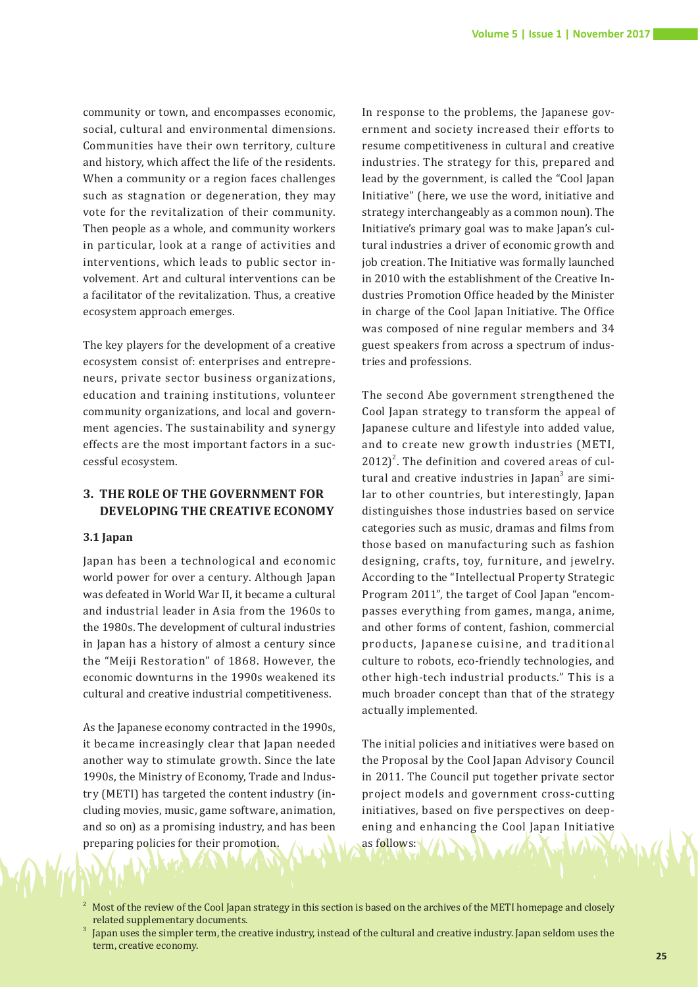community or town, and encompasses economic, social, cultural and environmental dimensions. Communities have their own territory, culture and history, which affect the life of the residents. When a community or a region faces challenges such as stagnation or degeneration, they may vote for the revitalization of their community. Then people as a whole, and community workers in particular, look at a range of activities and interventions, which leads to public sector involvement. Art and cultural interventions can be a facilitator of the revitalization. Thus, a creative ecosystem approach emerges.

The key players for the development of a creative ecosystem consist of: enterprises and entrepreneurs, private sector business organizations, education and training institutions, volunteer community organizations, and local and government agencies. The sustainability and synergy effects are the most important factors in a successful ecosystem.

# **3. THE ROLE OF THE GOVERNMENT FOR DEVELOPING THE CREATIVE ECONOMY**

#### **3.1 Japan**

Japan has been a technological and economic world power for over a century. Although Japan was defeated in World War II, it became a cultural and industrial leader in Asia from the 1960s to the 1980s. The development of cultural industries in Japan has a history of almost a century since the "Meiji Restoration" of 1868. However, the economic downturns in the 1990s weakened its cultural and creative industrial competitiveness.

As the Japanese economy contracted in the 1990s, it became increasingly clear that Japan needed another way to stimulate growth. Since the late 1990s, the Ministry of Economy, Trade and Industry (METI) has targeted the content industry (including movies, music, game software, animation, and so on) as a promising industry, and has been preparing policies for their promotion.

In response to the problems, the Japanese government and society increased their efforts to resume competitiveness in cultural and creative industries. The strategy for this, prepared and lead by the government, is called the "Cool Japan Initiative" (here, we use the word, initiative and strategy interchangeably as a common noun). The Initiative's primary goal was to make Japan's cultural industries a driver of economic growth and job creation. The Initiative was formally launched in 2010 with the establishment of the Creative Industries Promotion Office headed by the Minister in charge of the Cool Japan Initiative. The Office was composed of nine regular members and 34 guest speakers from across a spectrum of industries and professions.

The second Abe government strengthened the Cool Japan strategy to transform the appeal of Japanese culture and lifestyle into added value, and to create new growth industries (METI,  $2012$ <sup>2</sup>. The definition and covered areas of cultural and creative industries in Japan<sup>3</sup> are similar to other countries, but interestingly, Japan distinguishes those industries based on service categories such as music, dramas and films from those based on manufacturing such as fashion designing, crafts, toy, furniture, and jewelry. According to the "Intellectual Property Strategic Program 2011", the target of Cool Japan "encompasses everything from games, manga, anime, and other forms of content, fashion, commercial products, Japanese cuisine, and traditional culture to robots, eco-friendly technologies, and other high-tech industrial products." This is a much broader concept than that of the strategy actually implemented.

The initial policies and initiatives were based on the Proposal by the Cool Japan Advisory Council in 2011. The Council put together private sector project models and government cross-cutting initiatives, based on five perspectives on deepening and enhancing the Cool Japan Initiative as follows:

- Most of the review of the Cool Japan strategy in this section is based on the archives of the METI homepage and closely related supplementary documents.
- Japan uses the simpler term, the creative industry, instead of the cultural and creative industry. Japan seldom uses the term, creative economy.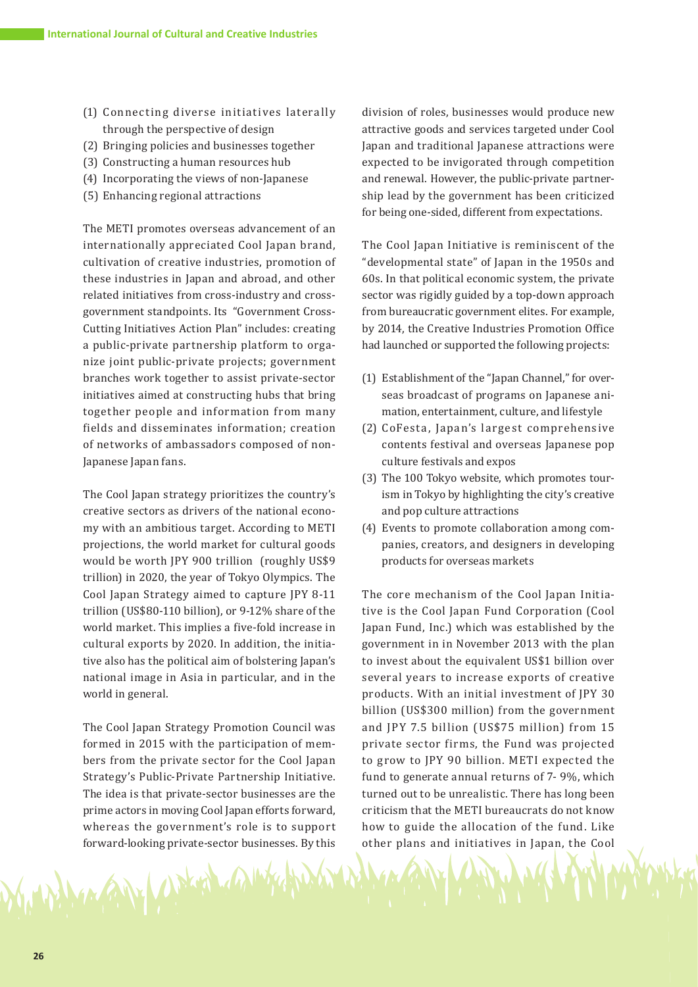- (1) Connecting diverse initiatives laterally through the perspective of design
- (2) Bringing policies and businesses together
- (3) Constructing a human resources hub
- (4) Incorporating the views of non-Japanese
- (5) Enhancing regional attractions

The METI promotes overseas advancement of an internationally appreciated Cool Japan brand, cultivation of creative industries, promotion of these industries in Japan and abroad, and other related initiatives from cross-industry and crossgovernment standpoints. Its "Government Cross-Cutting Initiatives Action Plan" includes: creating a public-private partnership platform to organize joint public-private projects; government branches work together to assist private-sector initiatives aimed at constructing hubs that bring together people and information from many fields and disseminates information; creation of networks of ambassadors composed of non-Japanese Japan fans.

The Cool Japan strategy prioritizes the country's creative sectors as drivers of the national economy with an ambitious target. According to METI projections, the world market for cultural goods would be worth JPY 900 trillion (roughly US\$9 trillion) in 2020, the year of Tokyo Olympics. The Cool Japan Strategy aimed to capture JPY 8-11 trillion (US\$80-110 billion), or 9-12% share of the world market. This implies a five-fold increase in cultural exports by 2020. In addition, the initiative also has the political aim of bolstering Japan's national image in Asia in particular, and in the world in general.

The Cool Japan Strategy Promotion Council was formed in 2015 with the participation of members from the private sector for the Cool Japan Strategy's Public-Private Partnership Initiative. The idea is that private-sector businesses are the prime actors in moving Cool Japan efforts forward, whereas the government's role is to support forward-looking private-sector businesses. By this

UN KHA 4

division of roles, businesses would produce new attractive goods and services targeted under Cool Japan and traditional Japanese attractions were expected to be invigorated through competition and renewal. However, the public-private partnership lead by the government has been criticized for being one-sided, different from expectations.

The Cool Japan Initiative is reminiscent of the "developmental state" of Japan in the 1950s and 60s. In that political economic system, the private sector was rigidly guided by a top-down approach from bureaucratic government elites. For example, by 2014, the Creative Industries Promotion Office had launched or supported the following projects:

- (1) Establishment of the "Japan Channel," for overseas broadcast of programs on Japanese animation, entertainment, culture, and lifestyle
- (2) CoFesta, Japan's largest comprehensive contents festival and overseas Japanese pop culture festivals and expos
- (3) The 100 Tokyo website, which promotes tourism in Tokyo by highlighting the city's creative and pop culture attractions
- (4) Events to promote collaboration among companies, creators, and designers in developing products for overseas markets

The core mechanism of the Cool Japan Initiative is the Cool Japan Fund Corporation (Cool Japan Fund, Inc.) which was established by the government in in November 2013 with the plan to invest about the equivalent US\$1 billion over several years to increase exports of creative products. With an initial investment of JPY 30 billion (US\$300 million) from the government and JPY 7.5 billion (US\$75 million) from 15 private sector firms, the Fund was projected to grow to JPY 90 billion. METI expected the fund to generate annual returns of 7- 9%, which turned out to be unrealistic. There has long been criticism that the METI bureaucrats do not know how to guide the allocation of the fund. Like other plans and initiatives in Japan, the Cool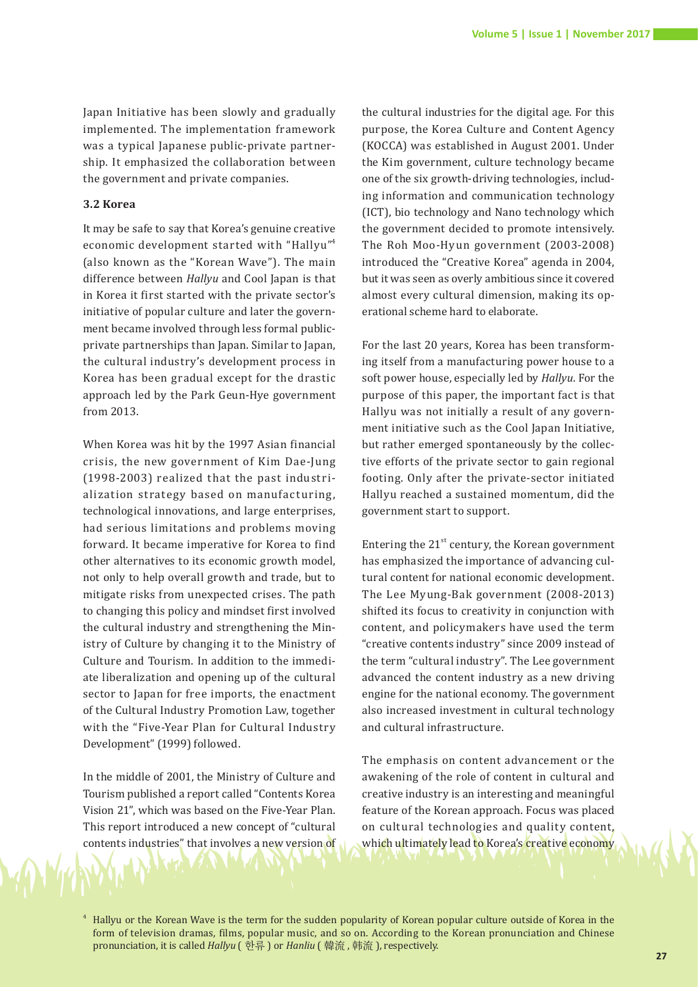Japan Initiative has been slowly and gradually implemented. The implementation framework was a typical Japanese public-private partnership. It emphasized the collaboration between the government and private companies.

#### **3.2 Korea**

It may be safe to say that Korea's genuine creative economic development started with "Hallyu"4 (also known as the "Korean Wave"). The main difference between *Hallyu* and Cool Japan is that in Korea it first started with the private sector's initiative of popular culture and later the government became involved through less formal publicprivate partnerships than Japan. Similar to Japan, the cultural industry's development process in Korea has been gradual except for the drastic approach led by the Park Geun-Hye government from 2013.

When Korea was hit by the 1997 Asian financial crisis, the new government of Kim Dae-Jung (1998-2003) realized that the past industrialization strategy based on manufacturing, technological innovations, and large enterprises, had serious limitations and problems moving forward. It became imperative for Korea to find other alternatives to its economic growth model, not only to help overall growth and trade, but to mitigate risks from unexpected crises. The path to changing this policy and mindset first involved the cultural industry and strengthening the Ministry of Culture by changing it to the Ministry of Culture and Tourism. In addition to the immediate liberalization and opening up of the cultural sector to Japan for free imports, the enactment of the Cultural Industry Promotion Law, together with the "Five-Year Plan for Cultural Industry Development" (1999) followed.

In the middle of 2001, the Ministry of Culture and Tourism published a report called "Contents Korea Vision 21", which was based on the Five-Year Plan. This report introduced a new concept of "cultural contents industries" that involves a new version of

the cultural industries for the digital age. For this purpose, the Korea Culture and Content Agency (KOCCA) was established in August 2001. Under the Kim government, culture technology became one of the six growth-driving technologies, including information and communication technology (ICT), bio technology and Nano technology which the government decided to promote intensively. The Roh Moo-Hyun government (2003-2008) introduced the "Creative Korea" agenda in 2004, but it was seen as overly ambitious since it covered almost every cultural dimension, making its operational scheme hard to elaborate.

For the last 20 years, Korea has been transforming itself from a manufacturing power house to a soft power house, especially led by *Hallyu*. For the purpose of this paper, the important fact is that Hallyu was not initially a result of any government initiative such as the Cool Japan Initiative, but rather emerged spontaneously by the collective efforts of the private sector to gain regional footing. Only after the private-sector initiated Hallyu reached a sustained momentum, did the government start to support.

Entering the  $21<sup>st</sup>$  century, the Korean government has emphasized the importance of advancing cultural content for national economic development. The Lee Myung-Bak government (2008-2013) shifted its focus to creativity in conjunction with content, and policymakers have used the term "creative contents industry" since 2009 instead of the term "cultural industry". The Lee government advanced the content industry as a new driving engine for the national economy. The government also increased investment in cultural technology and cultural infrastructure.

The emphasis on content advancement or the awakening of the role of content in cultural and creative industry is an interesting and meaningful feature of the Korean approach. Focus was placed on cultural technologies and quality content, which ultimately lead to Korea's creative economy

<sup>4</sup> Hallyu or the Korean Wave is the term for the sudden popularity of Korean popular culture outside of Korea in the form of television dramas, films, popular music, and so on. According to the Korean pronunciation and Chinese pronunciation, it is called *Hallyu* ( 한류 ) or *Hanliu* ( 韓流 , 韩流 ), respectively.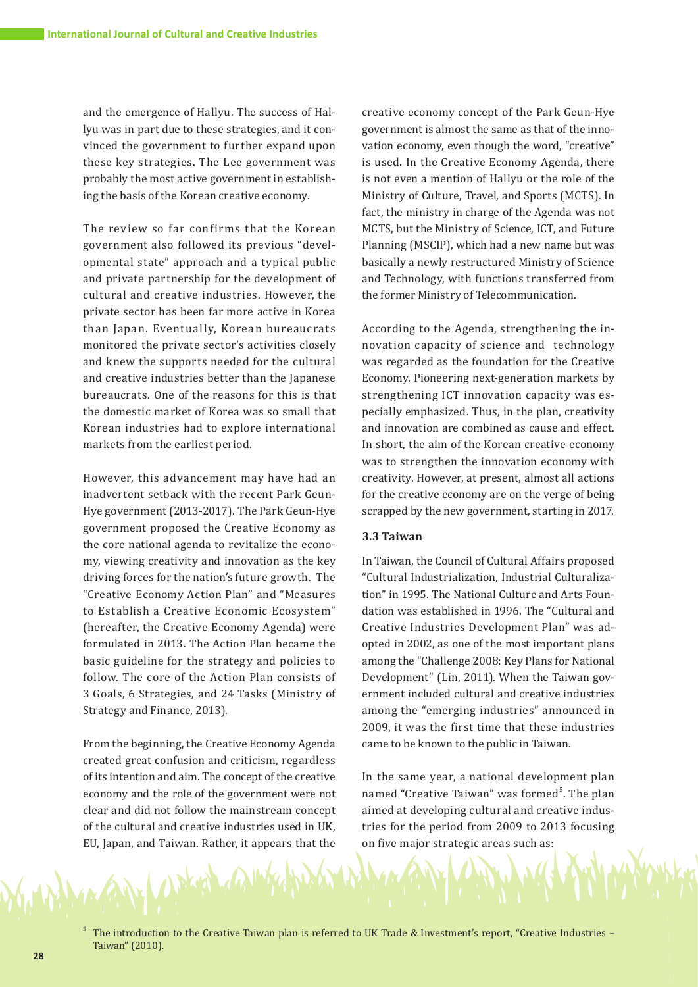and the emergence of Hallyu. The success of Hallyu was in part due to these strategies, and it convinced the government to further expand upon these key strategies. The Lee government was probably the most active government in establishing the basis of the Korean creative economy.

The review so far confirms that the Korean government also followed its previous "developmental state" approach and a typical public and private partnership for the development of cultural and creative industries. However, the private sector has been far more active in Korea than Japan. Eventually, Korean bureaucrats monitored the private sector's activities closely and knew the supports needed for the cultural and creative industries better than the Japanese bureaucrats. One of the reasons for this is that the domestic market of Korea was so small that Korean industries had to explore international markets from the earliest period.

However, this advancement may have had an inadvertent setback with the recent Park Geun-Hye government (2013-2017). The Park Geun-Hye government proposed the Creative Economy as the core national agenda to revitalize the economy, viewing creativity and innovation as the key driving forces for the nation's future growth. The "Creative Economy Action Plan" and "Measures to Establish a Creative Economic Ecosystem" (hereafter, the Creative Economy Agenda) were formulated in 2013. The Action Plan became the basic guideline for the strategy and policies to follow. The core of the Action Plan consists of 3 Goals, 6 Strategies, and 24 Tasks (Ministry of Strategy and Finance, 2013).

From the beginning, the Creative Economy Agenda created great confusion and criticism, regardless of its intention and aim. The concept of the creative economy and the role of the government were not clear and did not follow the mainstream concept of the cultural and creative industries used in UK, EU, Japan, and Taiwan. Rather, it appears that the creative economy concept of the Park Geun-Hye government is almost the same as that of the innovation economy, even though the word, "creative" is used. In the Creative Economy Agenda, there is not even a mention of Hallyu or the role of the Ministry of Culture, Travel, and Sports (MCTS). In fact, the ministry in charge of the Agenda was not MCTS, but the Ministry of Science, ICT, and Future Planning (MSCIP), which had a new name but was basically a newly restructured Ministry of Science and Technology, with functions transferred from the former Ministry of Telecommunication.

According to the Agenda, strengthening the innovation capacity of science and technology was regarded as the foundation for the Creative Economy. Pioneering next-generation markets by strengthening ICT innovation capacity was especially emphasized. Thus, in the plan, creativity and innovation are combined as cause and effect. In short, the aim of the Korean creative economy was to strengthen the innovation economy with creativity. However, at present, almost all actions for the creative economy are on the verge of being scrapped by the new government, starting in 2017.

# **3.3 Taiwan**

In Taiwan, the Council of Cultural Affairs proposed "Cultural Industrialization, Industrial Culturalization" in 1995. The National Culture and Arts Foundation was established in 1996. The "Cultural and Creative Industries Development Plan" was adopted in 2002, as one of the most important plans among the "Challenge 2008: Key Plans for National Development" (Lin, 2011). When the Taiwan government included cultural and creative industries among the "emerging industries" announced in 2009, it was the first time that these industries came to be known to the public in Taiwan.

In the same year, a national development plan named "Creative Taiwan" was formed<sup>5</sup>. The plan aimed at developing cultural and creative industries for the period from 2009 to 2013 focusing on five major strategic areas such as:

5 The introduction to the Creative Taiwan plan is referred to UK Trade & Investment's report, "Creative Industries – Taiwan" (2010).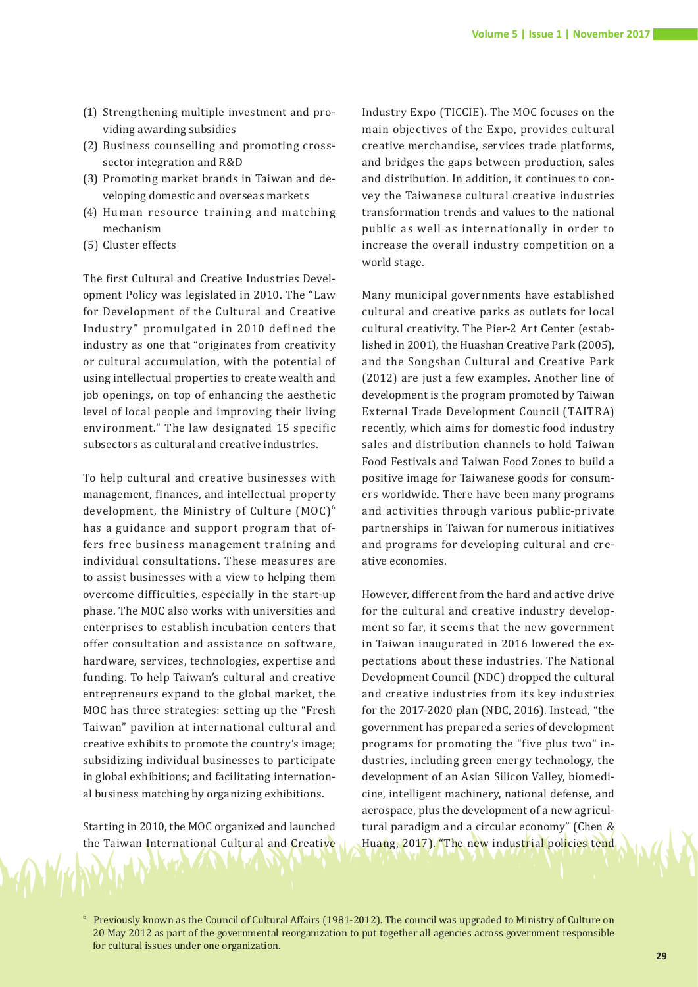- (1) Strengthening multiple investment and providing awarding subsidies
- (2) Business counselling and promoting crosssector integration and R&D
- (3) Promoting market brands in Taiwan and developing domestic and overseas markets
- (4) Human resource training and matching mechanism
- (5) Cluster effects

The first Cultural and Creative Industries Development Policy was legislated in 2010. The "Law for Development of the Cultural and Creative Industry" promulgated in 2010 defined the industry as one that "originates from creativity or cultural accumulation, with the potential of using intellectual properties to create wealth and job openings, on top of enhancing the aesthetic level of local people and improving their living environment." The law designated 15 specific subsectors as cultural and creative industries.

To help cultural and creative businesses with management, finances, and intellectual property development, the Ministry of Culture  $(MOC)^6$ has a guidance and support program that offers free business management training and individual consultations. These measures are to assist businesses with a view to helping them overcome difficulties, especially in the start-up phase. The MOC also works with universities and enterprises to establish incubation centers that offer consultation and assistance on software, hardware, services, technologies, expertise and funding. To help Taiwan's cultural and creative entrepreneurs expand to the global market, the MOC has three strategies: setting up the "Fresh Taiwan" pavilion at international cultural and creative exhibits to promote the country's image; subsidizing individual businesses to participate in global exhibitions; and facilitating international business matching by organizing exhibitions.

Starting in 2010, the MOC organized and launched the Taiwan International Cultural and Creative

Industry Expo (TICCIE). The MOC focuses on the main objectives of the Expo, provides cultural creative merchandise, services trade platforms, and bridges the gaps between production, sales and distribution. In addition, it continues to convey the Taiwanese cultural creative industries transformation trends and values to the national public as well as internationally in order to increase the overall industry competition on a world stage.

Many municipal governments have established cultural and creative parks as outlets for local cultural creativity. The Pier-2 Art Center (established in 2001), the Huashan Creative Park (2005), and the Songshan Cultural and Creative Park (2012) are just a few examples. Another line of development is the program promoted by Taiwan External Trade Development Council (TAITRA) recently, which aims for domestic food industry sales and distribution channels to hold Taiwan Food Festivals and Taiwan Food Zones to build a positive image for Taiwanese goods for consumers worldwide. There have been many programs and activities through various public-private partnerships in Taiwan for numerous initiatives and programs for developing cultural and creative economies.

However, different from the hard and active drive for the cultural and creative industry development so far, it seems that the new government in Taiwan inaugurated in 2016 lowered the expectations about these industries. The National Development Council (NDC) dropped the cultural and creative industries from its key industries for the 2017-2020 plan (NDC, 2016). Instead, "the government has prepared a series of development programs for promoting the "five plus two" industries, including green energy technology, the development of an Asian Silicon Valley, biomedicine, intelligent machinery, national defense, and aerospace, plus the development of a new agricultural paradigm and a circular economy" (Chen & Huang, 2017). "The new industrial policies tend

<sup>6</sup> Previously known as the Council of Cultural Affairs (1981-2012). The council was upgraded to Ministry of Culture on 20 May 2012 as part of the governmental reorganization to put together all agencies across government responsible for cultural issues under one organization.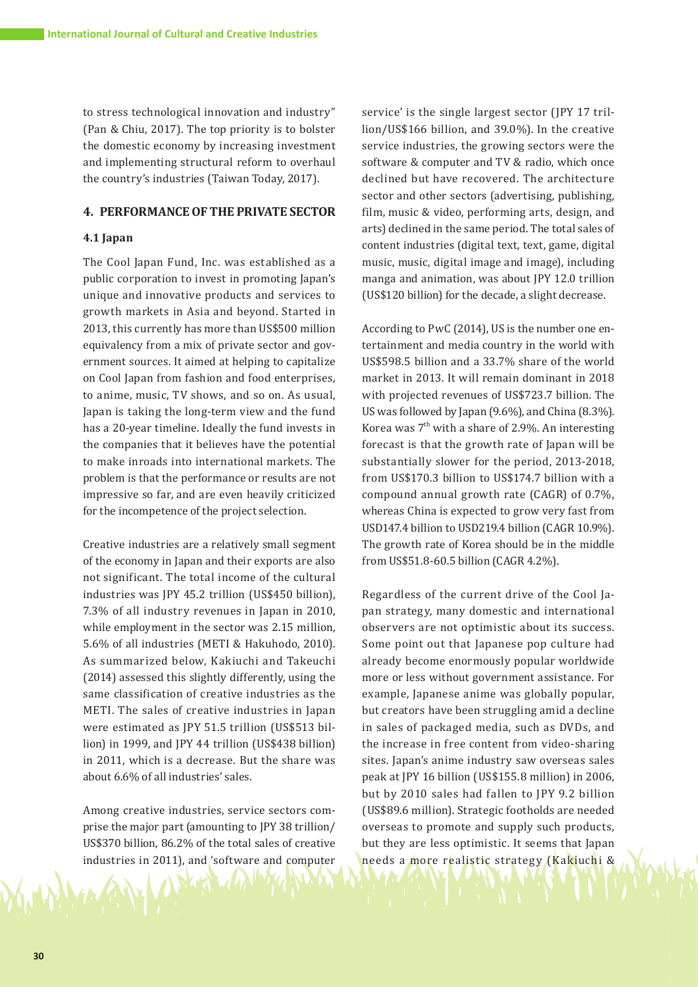to stress technological innovation and industry" (Pan & Chiu, 2017). The top priority is to bolster the domestic economy by increasing investment and implementing structural reform to overhaul the country's industries (Taiwan Today, 2017).

#### **4. PERFORMANCE OF THE PRIVATE SECTOR**

#### **4.1 Japan**

The Cool Japan Fund, Inc. was established as a public corporation to invest in promoting Japan's unique and innovative products and services to growth markets in Asia and beyond. Started in 2013, this currently has more than US\$500 million equivalency from a mix of private sector and government sources. It aimed at helping to capitalize on Cool Japan from fashion and food enterprises, to anime, music, TV shows, and so on. As usual, Japan is taking the long-term view and the fund has a 20-year timeline. Ideally the fund invests in the companies that it believes have the potential to make inroads into international markets. The problem is that the performance or results are not impressive so far, and are even heavily criticized for the incompetence of the project selection.

Creative industries are a relatively small segment of the economy in Japan and their exports are also not significant. The total income of the cultural industries was JPY 45.2 trillion (US\$450 billion), 7.3% of all industry revenues in Japan in 2010, while employment in the sector was 2.15 million, 5.6% of all industries (METI & Hakuhodo, 2010). As summarized below, Kakiuchi and Takeuchi (2014) assessed this slightly differently, using the same classification of creative industries as the METI. The sales of creative industries in Japan were estimated as JPY 51.5 trillion (US\$513 billion) in 1999, and JPY 44 trillion (US\$438 billion) in 2011, which is a decrease. But the share was about 6.6% of all industries' sales.

Among creative industries, service sectors comprise the major part (amounting to JPY 38 trillion/ US\$370 billion, 86.2% of the total sales of creative industries in 2011), and 'software and computer

service' is the single largest sector (JPY 17 trillion/US\$166 billion, and 39.0%). In the creative service industries, the growing sectors were the software & computer and TV & radio, which once declined but have recovered. The architecture sector and other sectors (advertising, publishing, film, music & video, performing arts, design, and arts) declined in the same period. The total sales of content industries (digital text, text, game, digital music, music, digital image and image), including manga and animation, was about JPY 12.0 trillion (US\$120 billion) for the decade, a slight decrease.

According to PwC (2014), US is the number one entertainment and media country in the world with US\$598.5 billion and a 33.7% share of the world market in 2013. It will remain dominant in 2018 with projected revenues of US\$723.7 billion. The US was followed by Japan (9.6%), and China (8.3%). Korea was  $7<sup>th</sup>$  with a share of 2.9%. An interesting forecast is that the growth rate of Japan will be substantially slower for the period, 2013-2018, from US\$170.3 billion to US\$174.7 billion with a compound annual growth rate (CAGR) of 0.7%, whereas China is expected to grow very fast from USD147.4 billion to USD219.4 billion (CAGR 10.9%). The growth rate of Korea should be in the middle from US\$51.8-60.5 billion (CAGR 4.2%).

Regardless of the current drive of the Cool Japan strategy, many domestic and international observers are not optimistic about its success. Some point out that Japanese pop culture had already become enormously popular worldwide more or less without government assistance. For example, Japanese anime was globally popular, but creators have been struggling amid a decline in sales of packaged media, such as DVDs, and the increase in free content from video-sharing sites. Japan's anime industry saw overseas sales peak at JPY 16 billion (US\$155.8 million) in 2006, but by 2010 sales had fallen to JPY 9.2 billion (US\$89.6 million). Strategic footholds are needed overseas to promote and supply such products, but they are less optimistic. It seems that Japan needs a more realistic strategy (Kakiuchi &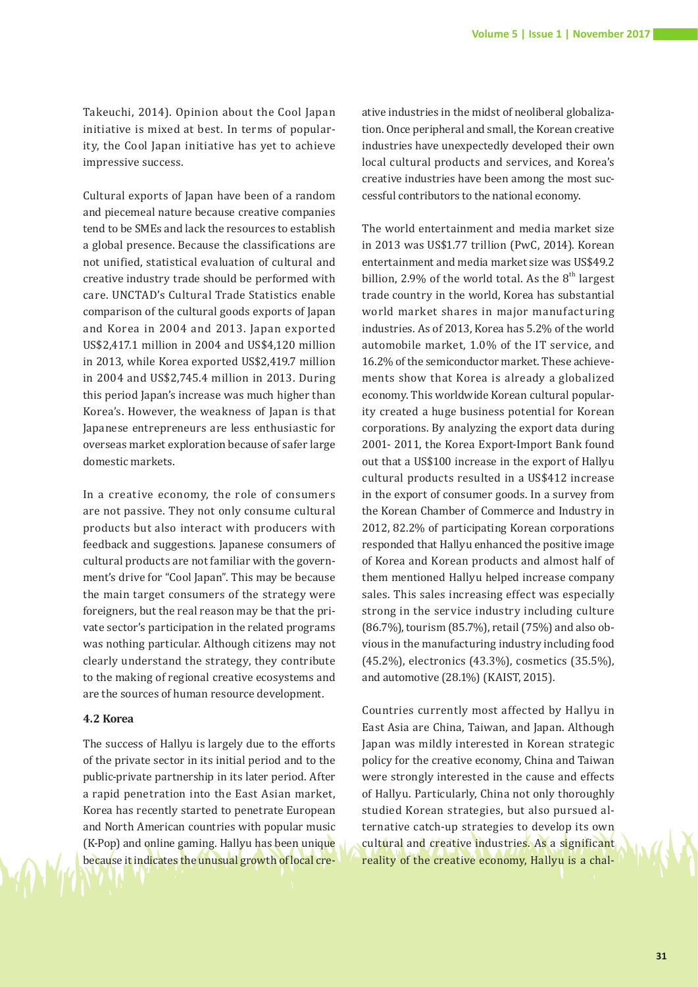Takeuchi, 2014). Opinion about the Cool Japan initiative is mixed at best. In terms of popularity, the Cool Japan initiative has yet to achieve impressive success.

Cultural exports of Japan have been of a random and piecemeal nature because creative companies tend to be SMEs and lack the resources to establish a global presence. Because the classifications are not unified, statistical evaluation of cultural and creative industry trade should be performed with care. UNCTAD's Cultural Trade Statistics enable comparison of the cultural goods exports of Japan and Korea in 2004 and 2013. Japan exported US\$2,417.1 million in 2004 and US\$4,120 million in 2013, while Korea exported US\$2,419.7 million in 2004 and US\$2,745.4 million in 2013. During this period Japan's increase was much higher than Korea's. However, the weakness of Japan is that Japanese entrepreneurs are less enthusiastic for overseas market exploration because of safer large domestic markets.

In a creative economy, the role of consumers are not passive. They not only consume cultural products but also interact with producers with feedback and suggestions. Japanese consumers of cultural products are not familiar with the government's drive for "Cool Japan". This may be because the main target consumers of the strategy were foreigners, but the real reason may be that the private sector's participation in the related programs was nothing particular. Although citizens may not clearly understand the strategy, they contribute to the making of regional creative ecosystems and are the sources of human resource development.

#### **4.2 Korea**

The success of Hallyu is largely due to the efforts of the private sector in its initial period and to the public-private partnership in its later period. After a rapid penetration into the East Asian market, Korea has recently started to penetrate European and North American countries with popular music (K-Pop) and online gaming. Hallyu has been unique because it indicates the unusual growth of local cre-

ative industries in the midst of neoliberal globalization. Once peripheral and small, the Korean creative industries have unexpectedly developed their own local cultural products and services, and Korea's creative industries have been among the most successful contributors to the national economy.

The world entertainment and media market size in 2013 was US\$1.77 trillion (PwC, 2014). Korean entertainment and media market size was US\$49.2 billion, 2.9% of the world total. As the  $8<sup>th</sup>$  largest trade country in the world, Korea has substantial world market shares in major manufacturing industries. As of 2013, Korea has 5.2% of the world automobile market, 1.0% of the IT service, and 16.2% of the semiconductor market. These achievements show that Korea is already a globalized economy. This worldwide Korean cultural popularity created a huge business potential for Korean corporations. By analyzing the export data during 2001- 2011, the Korea Export-Import Bank found out that a US\$100 increase in the export of Hallyu cultural products resulted in a US\$412 increase in the export of consumer goods. In a survey from the Korean Chamber of Commerce and Industry in 2012, 82.2% of participating Korean corporations responded that Hallyu enhanced the positive image of Korea and Korean products and almost half of them mentioned Hallyu helped increase company sales. This sales increasing effect was especially strong in the service industry including culture (86.7%), tourism (85.7%), retail (75%) and also obvious in the manufacturing industry including food (45.2%), electronics (43.3%), cosmetics (35.5%), and automotive (28.1%) (KAIST, 2015).

Countries currently most affected by Hallyu in East Asia are China, Taiwan, and Japan. Although Japan was mildly interested in Korean strategic policy for the creative economy, China and Taiwan were strongly interested in the cause and effects of Hallyu. Particularly, China not only thoroughly studied Korean strategies, but also pursued alternative catch-up strategies to develop its own cultural and creative industries. As a significant reality of the creative economy, Hallyu is a chal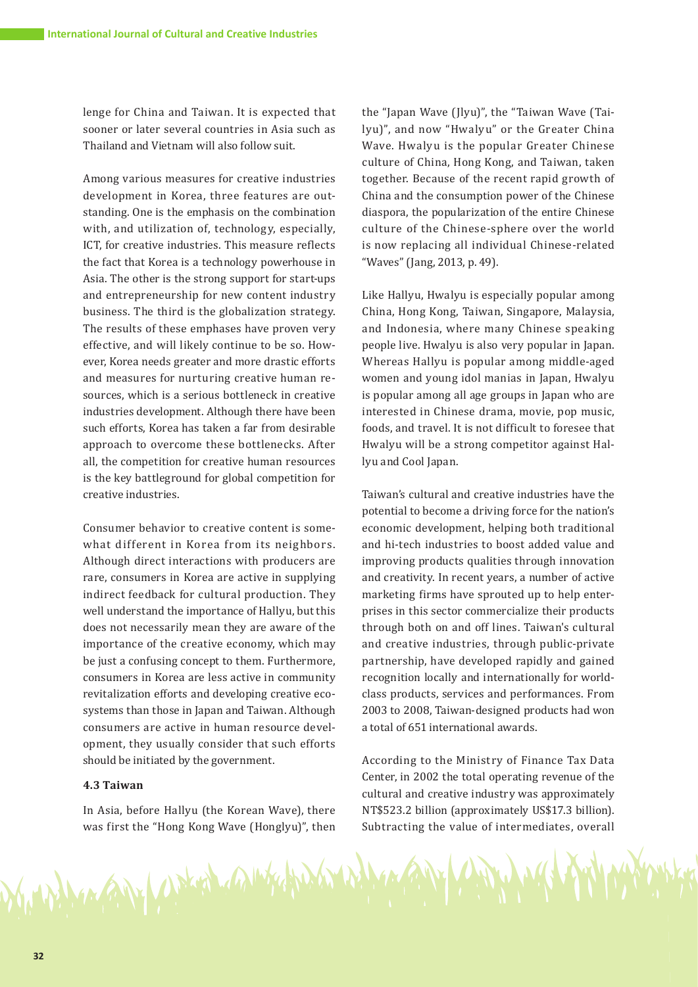lenge for China and Taiwan. It is expected that sooner or later several countries in Asia such as Thailand and Vietnam will also follow suit.

Among various measures for creative industries development in Korea, three features are outstanding. One is the emphasis on the combination with, and utilization of, technology, especially, ICT, for creative industries. This measure reflects the fact that Korea is a technology powerhouse in Asia. The other is the strong support for start-ups and entrepreneurship for new content industry business. The third is the globalization strategy. The results of these emphases have proven very effective, and will likely continue to be so. However, Korea needs greater and more drastic efforts and measures for nurturing creative human resources, which is a serious bottleneck in creative industries development. Although there have been such efforts, Korea has taken a far from desirable approach to overcome these bottlenecks. After all, the competition for creative human resources is the key battleground for global competition for creative industries.

Consumer behavior to creative content is somewhat different in Korea from its neighbors. Although direct interactions with producers are rare, consumers in Korea are active in supplying indirect feedback for cultural production. They well understand the importance of Hallyu, but this does not necessarily mean they are aware of the importance of the creative economy, which may be just a confusing concept to them. Furthermore, consumers in Korea are less active in community revitalization efforts and developing creative ecosystems than those in Japan and Taiwan. Although consumers are active in human resource development, they usually consider that such efforts should be initiated by the government.

#### **4.3 Taiwan**

In Asia, before Hallyu (the Korean Wave), there was first the "Hong Kong Wave (Honglyu)", then

MARAMY CAPKER CAMPANY

the "Japan Wave (Jlyu)", the "Taiwan Wave (Tailyu)", and now "Hwalyu" or the Greater China Wave. Hwalyu is the popular Greater Chinese culture of China, Hong Kong, and Taiwan, taken together. Because of the recent rapid growth of China and the consumption power of the Chinese diaspora, the popularization of the entire Chinese culture of the Chinese-sphere over the world is now replacing all individual Chinese-related "Waves" (Jang, 2013, p. 49).

Like Hallyu, Hwalyu is especially popular among China, Hong Kong, Taiwan, Singapore, Malaysia, and Indonesia, where many Chinese speaking people live. Hwalyu is also very popular in Japan. Whereas Hallyu is popular among middle-aged women and young idol manias in Japan, Hwalyu is popular among all age groups in Japan who are interested in Chinese drama, movie, pop music, foods, and travel. It is not difficult to foresee that Hwalyu will be a strong competitor against Hallyu and Cool Japan.

Taiwan's cultural and creative industries have the potential to become a driving force for the nation's economic development, helping both traditional and hi-tech industries to boost added value and improving products qualities through innovation and creativity. In recent years, a number of active marketing firms have sprouted up to help enterprises in this sector commercialize their products through both on and off lines. Taiwan's cultural and creative industries, through public-private partnership, have developed rapidly and gained recognition locally and internationally for worldclass products, services and performances. From 2003 to 2008, Taiwan-designed products had won a total of 651 international awards.

According to the Ministry of Finance Tax Data Center, in 2002 the total operating revenue of the cultural and creative industry was approximately NT\$523.2 billion (approximately US\$17.3 billion). Subtracting the value of intermediates, overall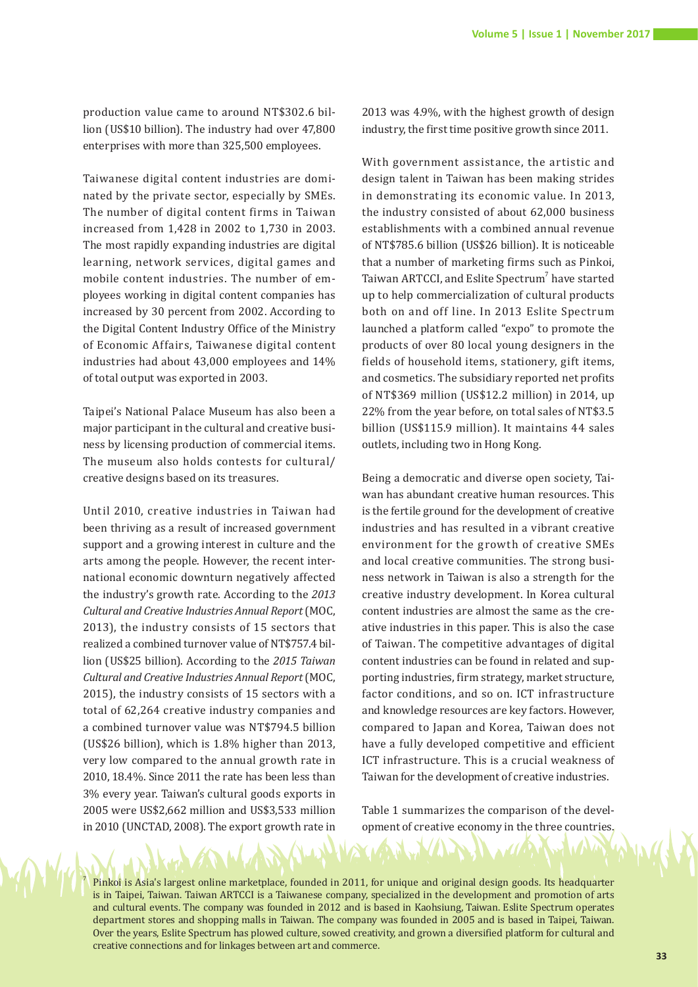production value came to around NT\$302.6 billion (US\$10 billion). The industry had over 47,800 enterprises with more than 325,500 employees.

Taiwanese digital content industries are dominated by the private sector, especially by SMEs. The number of digital content firms in Taiwan increased from 1,428 in 2002 to 1,730 in 2003. The most rapidly expanding industries are digital learning, network services, digital games and mobile content industries. The number of employees working in digital content companies has increased by 30 percent from 2002. According to the Digital Content Industry Office of the Ministry of Economic Affairs, Taiwanese digital content industries had about 43,000 employees and 14% of total output was exported in 2003.

Taipei's National Palace Museum has also been a major participant in the cultural and creative business by licensing production of commercial items. The museum also holds contests for cultural/ creative designs based on its treasures.

Until 2010, creative industries in Taiwan had been thriving as a result of increased government support and a growing interest in culture and the arts among the people. However, the recent international economic downturn negatively affected the industry's growth rate. According to the *2013 Cultural and Creative Industries Annual Report* (MOC, 2013), the industry consists of 15 sectors that realized a combined turnover value of NT\$757.4 billion (US\$25 billion). According to the *2015 Taiwan Cultural and Creative Industries Annual Report* (MOC, 2015), the industry consists of 15 sectors with a total of 62,264 creative industry companies and a combined turnover value was NT\$794.5 billion (US\$26 billion), which is 1.8% higher than 2013, very low compared to the annual growth rate in 2010, 18.4%. Since 2011 the rate has been less than 3% every year. Taiwan's cultural goods exports in 2005 were US\$2,662 million and US\$3,533 million in 2010 (UNCTAD, 2008). The export growth rate in

2013 was 4.9%, with the highest growth of design industry, the first time positive growth since 2011.

With government assistance, the artistic and design talent in Taiwan has been making strides in demonstrating its economic value. In 2013, the industry consisted of about 62,000 business establishments with a combined annual revenue of NT\$785.6 billion (US\$26 billion). It is noticeable that a number of marketing firms such as Pinkoi, Taiwan ARTCCI, and Eslite Spectrum<sup>7</sup> have started up to help commercialization of cultural products both on and off line. In 2013 Eslite Spectrum launched a platform called "expo" to promote the products of over 80 local young designers in the fields of household items, stationery, gift items, and cosmetics. The subsidiary reported net profits of NT\$369 million (US\$12.2 million) in 2014, up 22% from the year before, on total sales of NT\$3.5 billion (US\$115.9 million). It maintains 44 sales outlets, including two in Hong Kong.

Being a democratic and diverse open society, Taiwan has abundant creative human resources. This is the fertile ground for the development of creative industries and has resulted in a vibrant creative environment for the growth of creative SMEs and local creative communities. The strong business network in Taiwan is also a strength for the creative industry development. In Korea cultural content industries are almost the same as the creative industries in this paper. This is also the case of Taiwan. The competitive advantages of digital content industries can be found in related and supporting industries, firm strategy, market structure, factor conditions, and so on. ICT infrastructure and knowledge resources are key factors. However, compared to Japan and Korea, Taiwan does not have a fully developed competitive and efficient ICT infrastructure. This is a crucial weakness of Taiwan for the development of creative industries.

Table 1 summarizes the comparison of the development of creative economy in the three countries.

Pinkoi is Asia's largest online marketplace, founded in 2011, for unique and original design goods. Its headquarter is in Taipei, Taiwan. Taiwan ARTCCI is a Taiwanese company, specialized in the development and promotion of arts and cultural events. The company was founded in 2012 and is based in Kaohsiung, Taiwan. Eslite Spectrum operates department stores and shopping malls in Taiwan. The company was founded in 2005 and is based in Taipei, Taiwan. Over the years, Eslite Spectrum has plowed culture, sowed creativity, and grown a diversified platform for cultural and creative connections and for linkages between art and commerce.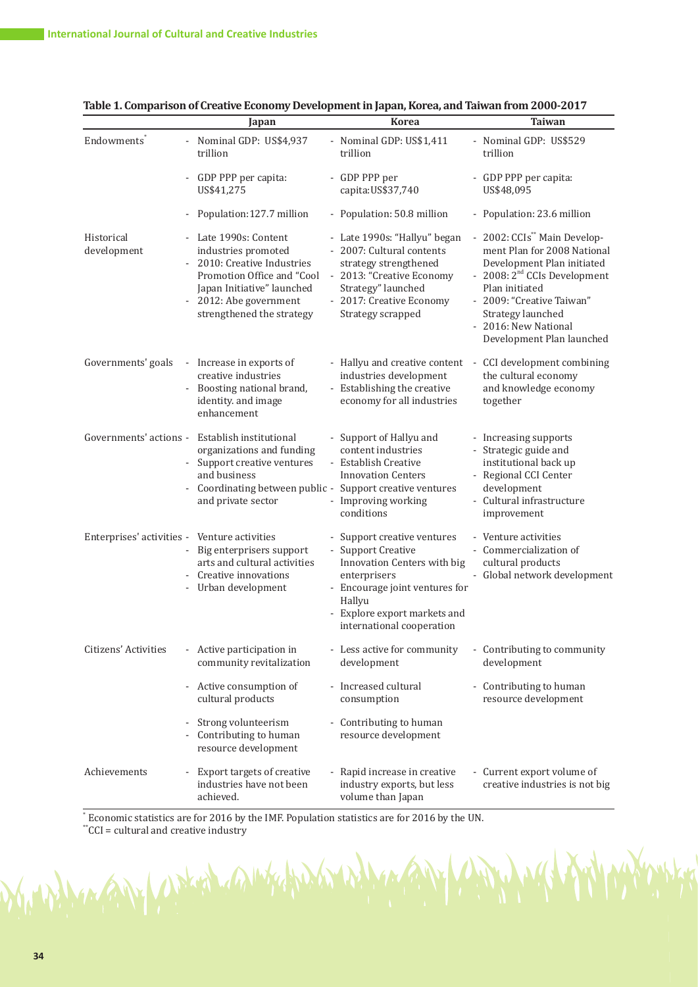|                                              | Japan                                                                                                                                                                                              | <b>Korea</b>                                                                                                                                                                                              | <b>Taiwan</b>                                                                                                                                                                                                                                                              |
|----------------------------------------------|----------------------------------------------------------------------------------------------------------------------------------------------------------------------------------------------------|-----------------------------------------------------------------------------------------------------------------------------------------------------------------------------------------------------------|----------------------------------------------------------------------------------------------------------------------------------------------------------------------------------------------------------------------------------------------------------------------------|
| Endowments <sup>®</sup>                      | - Nominal GDP: US\$4,937<br>trillion                                                                                                                                                               | - Nominal GDP: US\$1,411<br>trillion                                                                                                                                                                      | - Nominal GDP: US\$529<br>trillion                                                                                                                                                                                                                                         |
|                                              | - GDP PPP per capita:<br>US\$41,275                                                                                                                                                                | - GDP PPP per<br>capita: US\$37,740                                                                                                                                                                       | - GDP PPP per capita:<br>US\$48,095                                                                                                                                                                                                                                        |
|                                              | Population:127.7 million                                                                                                                                                                           | - Population: 50.8 million                                                                                                                                                                                | - Population: 23.6 million                                                                                                                                                                                                                                                 |
| Historical<br>development                    | - Late 1990s: Content<br>industries promoted<br>2010: Creative Industries<br>÷,<br>Promotion Office and "Cool<br>Japan Initiative" launched<br>- 2012: Abe government<br>strengthened the strategy | - Late 1990s: "Hallyu" began<br>- 2007: Cultural contents<br>strategy strengthened<br>- 2013: "Creative Economy<br>Strategy" launched<br>- 2017: Creative Economy<br>Strategy scrapped                    | - 2002: CCIs <sup>**</sup> Main Develop-<br>ment Plan for 2008 National<br>Development Plan initiated<br>- 2008: 2 <sup>nd</sup> CCIs Development<br>Plan initiated<br>- 2009: "Creative Taiwan"<br>Strategy launched<br>- 2016: New National<br>Development Plan launched |
| Governments' goals                           | - Increase in exports of<br>creative industries<br>Boosting national brand,<br>identity. and image<br>enhancement                                                                                  | - Hallyu and creative content<br>industries development<br>- Establishing the creative<br>economy for all industries                                                                                      | - CCI development combining<br>the cultural economy<br>and knowledge economy<br>together                                                                                                                                                                                   |
|                                              | Governments' actions - Establish institutional<br>organizations and funding<br>- Support creative ventures<br>and business<br>Coordinating between public -<br>and private sector                  | - Support of Hallyu and<br>content industries<br>- Establish Creative<br><b>Innovation Centers</b><br>Support creative ventures<br>Improving working<br>conditions                                        | - Increasing supports<br>- Strategic guide and<br>institutional back up<br>- Regional CCI Center<br>development<br>- Cultural infrastructure<br>improvement                                                                                                                |
| Enterprises' activities - Venture activities | - Big enterprisers support<br>arts and cultural activities<br>- Creative innovations<br>- Urban development                                                                                        | - Support creative ventures<br>- Support Creative<br>Innovation Centers with big<br>enterprisers<br>- Encourage joint ventures for<br>Hallyu<br>- Explore export markets and<br>international cooperation | - Venture activities<br>- Commercialization of<br>cultural products<br>- Global network development                                                                                                                                                                        |
| Citizens' Activities                         | - Active participation in<br>community revitalization                                                                                                                                              | - Less active for community<br>development                                                                                                                                                                | - Contributing to community<br>development                                                                                                                                                                                                                                 |
|                                              | - Active consumption of<br>cultural products                                                                                                                                                       | - Increased cultural<br>consumption                                                                                                                                                                       | - Contributing to human<br>resource development                                                                                                                                                                                                                            |
|                                              | Strong volunteerism<br>Contributing to human<br>resource development                                                                                                                               | - Contributing to human<br>resource development                                                                                                                                                           |                                                                                                                                                                                                                                                                            |
| Achievements                                 | - Export targets of creative<br>industries have not been<br>achieved.                                                                                                                              | - Rapid increase in creative<br>industry exports, but less<br>volume than Japan                                                                                                                           | - Current export volume of<br>creative industries is not big                                                                                                                                                                                                               |

|  | Table 1. Comparison of Creative Economy Development in Japan, Korea, and Taiwan from 2000-2017 |  |  |  |  |  |
|--|------------------------------------------------------------------------------------------------|--|--|--|--|--|
|--|------------------------------------------------------------------------------------------------|--|--|--|--|--|

 $\frac{1}{2}$  Economic statistics are for 2016 by the IMF. Population statistics are for 2016 by the UN.

kh

\*\*CCI = cultural and creative industry

1 yray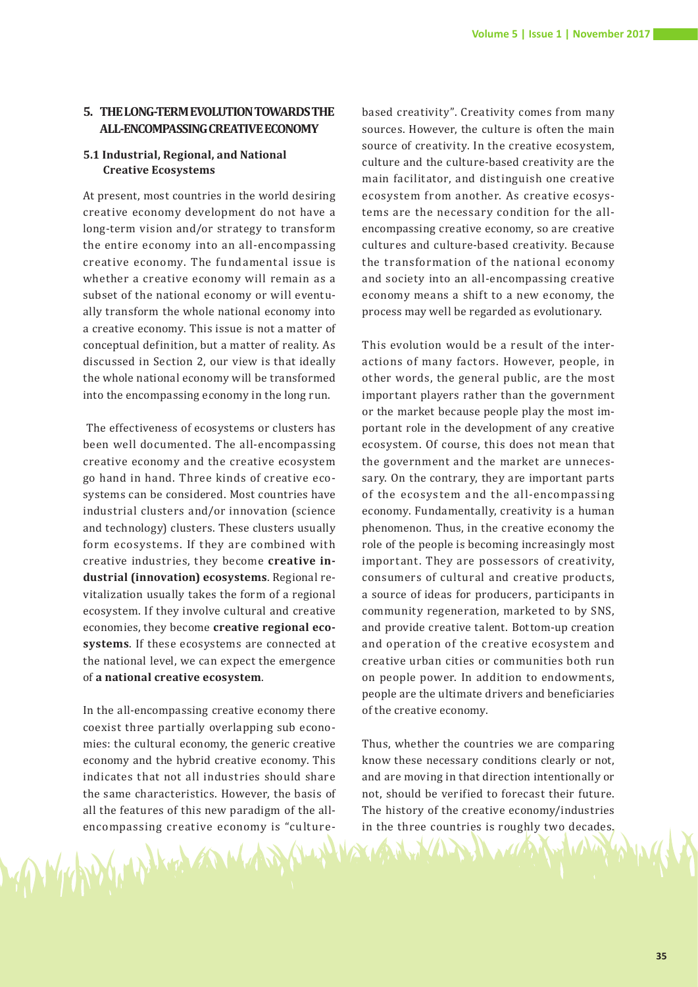# **5. THE LONG-TERM EVOLUTION TOWARDS THE ALL-ENCOMPASSING CREATIVE ECONOMY**

#### **5.1 Industrial, Regional, and National Creative Ecosystems**

At present, most countries in the world desiring creative economy development do not have a long-term vision and/or strategy to transform the entire economy into an all-encompassing creative economy. The fundamental issue is whether a creative economy will remain as a subset of the national economy or will eventually transform the whole national economy into a creative economy. This issue is not a matter of conceptual definition, but a matter of reality. As discussed in Section 2, our view is that ideally the whole national economy will be transformed into the encompassing economy in the long run.

 The effectiveness of ecosystems or clusters has been well documented. The all-encompassing creative economy and the creative ecosystem go hand in hand. Three kinds of creative ecosystems can be considered. Most countries have industrial clusters and/or innovation (science and technology) clusters. These clusters usually form ecosystems. If they are combined with creative industries, they become **creative industrial (innovation) ecosystems**. Regional revitalization usually takes the form of a regional ecosystem. If they involve cultural and creative economies, they become **creative regional ecosystems**. If these ecosystems are connected at the national level, we can expect the emergence of **a national creative ecosystem**.

In the all-encompassing creative economy there coexist three partially overlapping sub economies: the cultural economy, the generic creative economy and the hybrid creative economy. This indicates that not all industries should share the same characteristics. However, the basis of all the features of this new paradigm of the allencompassing creative economy is "culturebased creativity". Creativity comes from many sources. However, the culture is often the main source of creativity. In the creative ecosystem, culture and the culture-based creativity are the main facilitator, and distinguish one creative ecosystem from another. As creative ecosystems are the necessary condition for the allencompassing creative economy, so are creative cultures and culture-based creativity. Because the transformation of the national economy and society into an all-encompassing creative economy means a shift to a new economy, the process may well be regarded as evolutionary.

This evolution would be a result of the interactions of many factors. However, people, in other words, the general public, are the most important players rather than the government or the market because people play the most important role in the development of any creative ecosystem. Of course, this does not mean that the government and the market are unnecessary. On the contrary, they are important parts of the ecosystem and the all-encompassing economy. Fundamentally, creativity is a human phenomenon. Thus, in the creative economy the role of the people is becoming increasingly most important. They are possessors of creativity, consumers of cultural and creative products, a source of ideas for producers, participants in community regeneration, marketed to by SNS, and provide creative talent. Bottom-up creation and operation of the creative ecosystem and creative urban cities or communities both run on people power. In addition to endowments, people are the ultimate drivers and beneficiaries of the creative economy.

Thus, whether the countries we are comparing know these necessary conditions clearly or not, and are moving in that direction intentionally or not, should be verified to forecast their future. The history of the creative economy/industries in the three countries is roughly two decades.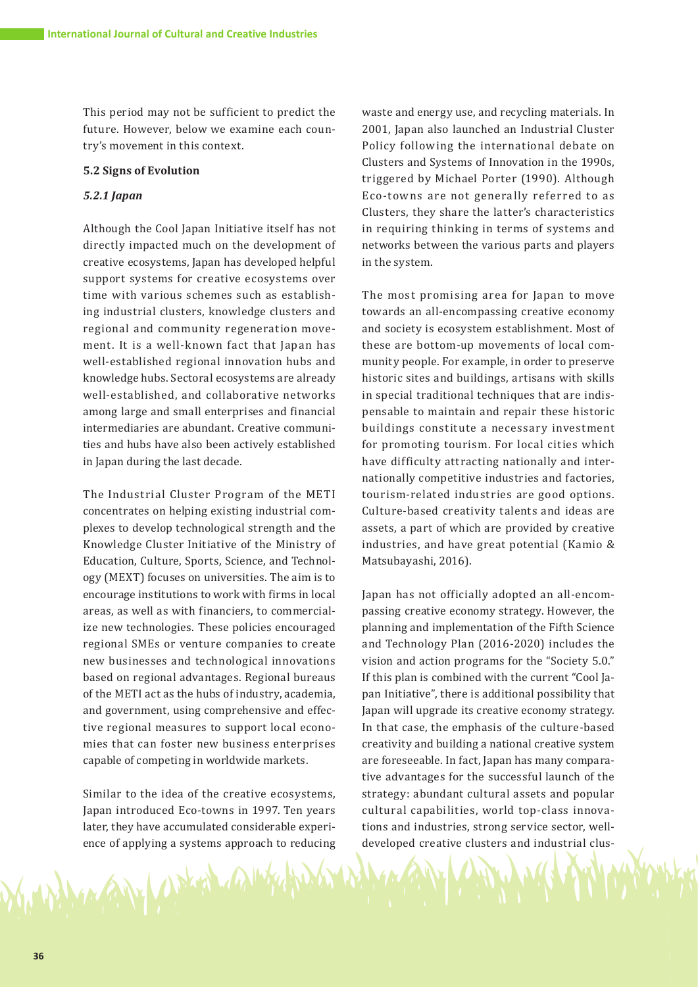This period may not be sufficient to predict the future. However, below we examine each country's movement in this context.

#### **5.2 Signs of Evolution**

#### *5.2.1 Japan*

Although the Cool Japan Initiative itself has not directly impacted much on the development of creative ecosystems, Japan has developed helpful support systems for creative ecosystems over time with various schemes such as establishing industrial clusters, knowledge clusters and regional and community regeneration movement. It is a well-known fact that Japan has well-established regional innovation hubs and knowledge hubs. Sectoral ecosystems are already well-established, and collaborative networks among large and small enterprises and financial intermediaries are abundant. Creative communities and hubs have also been actively established in Japan during the last decade.

The Industrial Cluster Program of the METI concentrates on helping existing industrial complexes to develop technological strength and the Knowledge Cluster Initiative of the Ministry of Education, Culture, Sports, Science, and Technology (MEXT) focuses on universities. The aim is to encourage institutions to work with firms in local areas, as well as with financiers, to commercialize new technologies. These policies encouraged regional SMEs or venture companies to create new businesses and technological innovations based on regional advantages. Regional bureaus of the METI act as the hubs of industry, academia, and government, using comprehensive and effective regional measures to support local economies that can foster new business enterprises capable of competing in worldwide markets.

Similar to the idea of the creative ecosystems, Japan introduced Eco-towns in 1997. Ten years later, they have accumulated considerable experience of applying a systems approach to reducing

AN WHA

waste and energy use, and recycling materials. In 2001, Japan also launched an Industrial Cluster Policy following the international debate on Clusters and Systems of Innovation in the 1990s, triggered by Michael Porter (1990). Although Eco-towns are not generally referred to as Clusters, they share the latter's characteristics in requiring thinking in terms of systems and networks between the various parts and players in the system.

The most promising area for Japan to move towards an all-encompassing creative economy and society is ecosystem establishment. Most of these are bottom-up movements of local community people. For example, in order to preserve historic sites and buildings, artisans with skills in special traditional techniques that are indispensable to maintain and repair these historic buildings constitute a necessary investment for promoting tourism. For local cities which have difficulty attracting nationally and internationally competitive industries and factories, tourism-related industries are good options. Culture-based creativity talents and ideas are assets, a part of which are provided by creative industries, and have great potential (Kamio & Matsubayashi, 2016).

Japan has not officially adopted an all-encompassing creative economy strategy. However, the planning and implementation of the Fifth Science and Technology Plan (2016-2020) includes the vision and action programs for the "Society 5.0." If this plan is combined with the current "Cool Japan Initiative", there is additional possibility that Japan will upgrade its creative economy strategy. In that case, the emphasis of the culture-based creativity and building a national creative system are foreseeable. In fact, Japan has many comparative advantages for the successful launch of the strategy: abundant cultural assets and popular cultural capabilities, world top-class innovations and industries, strong service sector, welldeveloped creative clusters and industrial clus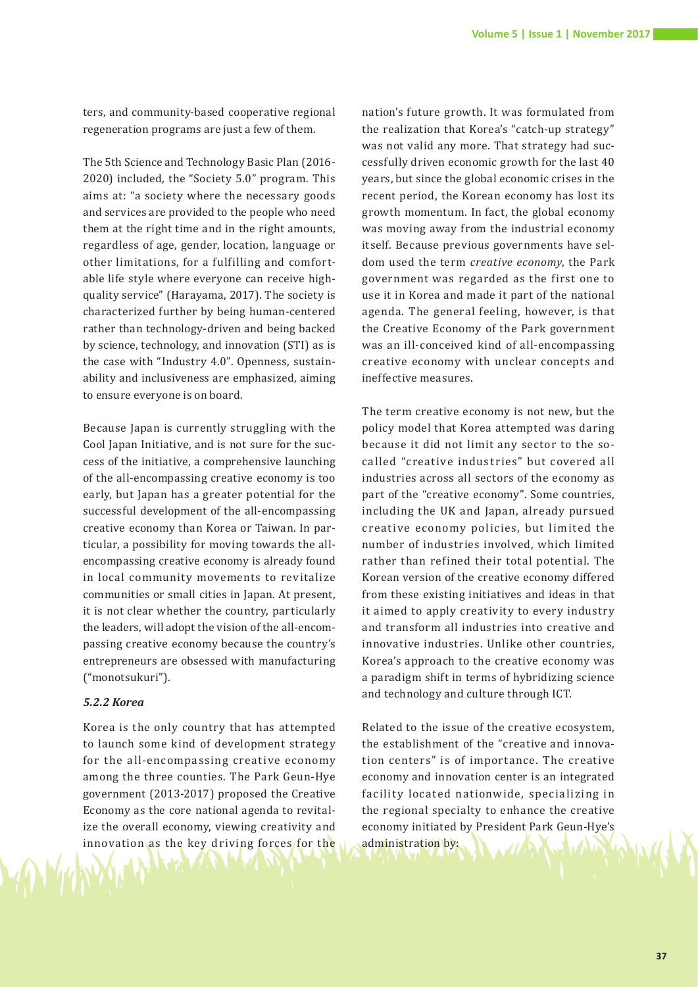ters, and community-based cooperative regional regeneration programs are just a few of them.

The 5th Science and Technology Basic Plan (2016- 2020) included, the "Society 5.0" program. This aims at: "a society where the necessary goods and services are provided to the people who need them at the right time and in the right amounts, regardless of age, gender, location, language or other limitations, for a fulfilling and comfortable life style where everyone can receive highquality service" (Harayama, 2017). The society is characterized further by being human-centered rather than technology-driven and being backed by science, technology, and innovation (STI) as is the case with "Industry 4.0". Openness, sustainability and inclusiveness are emphasized, aiming to ensure everyone is on board.

Because Japan is currently struggling with the Cool Japan Initiative, and is not sure for the success of the initiative, a comprehensive launching of the all-encompassing creative economy is too early, but Japan has a greater potential for the successful development of the all-encompassing creative economy than Korea or Taiwan. In particular, a possibility for moving towards the allencompassing creative economy is already found in local community movements to revitalize communities or small cities in Japan. At present, it is not clear whether the country, particularly the leaders, will adopt the vision of the all-encompassing creative economy because the country's entrepreneurs are obsessed with manufacturing ("monotsukuri").

#### *5.2.2 Korea*

Korea is the only country that has attempted to launch some kind of development strategy for the all-encompassing creative economy among the three counties. The Park Geun-Hye government (2013-2017) proposed the Creative Economy as the core national agenda to revitalize the overall economy, viewing creativity and innovation as the key driving forces for the

nation's future growth. It was formulated from the realization that Korea's "catch-up strategy" was not valid any more. That strategy had successfully driven economic growth for the last 40 years, but since the global economic crises in the recent period, the Korean economy has lost its growth momentum. In fact, the global economy was moving away from the industrial economy itself. Because previous governments have seldom used the term *creative economy*, the Park government was regarded as the first one to use it in Korea and made it part of the national agenda. The general feeling, however, is that the Creative Economy of the Park government was an ill-conceived kind of all-encompassing creative economy with unclear concepts and ineffective measures.

The term creative economy is not new, but the policy model that Korea attempted was daring because it did not limit any sector to the socalled "creative industries" but covered all industries across all sectors of the economy as part of the "creative economy". Some countries, including the UK and Japan, already pursued creative economy policies, but limited the number of industries involved, which limited rather than refined their total potential. The Korean version of the creative economy differed from these existing initiatives and ideas in that it aimed to apply creativity to every industry and transform all industries into creative and innovative industries. Unlike other countries, Korea's approach to the creative economy was a paradigm shift in terms of hybridizing science and technology and culture through ICT.

Related to the issue of the creative ecosystem, the establishment of the "creative and innovation centers" is of importance. The creative economy and innovation center is an integrated facility located nationwide, specializing in the regional specialty to enhance the creative economy initiated by President Park Geun-Hye's administration by: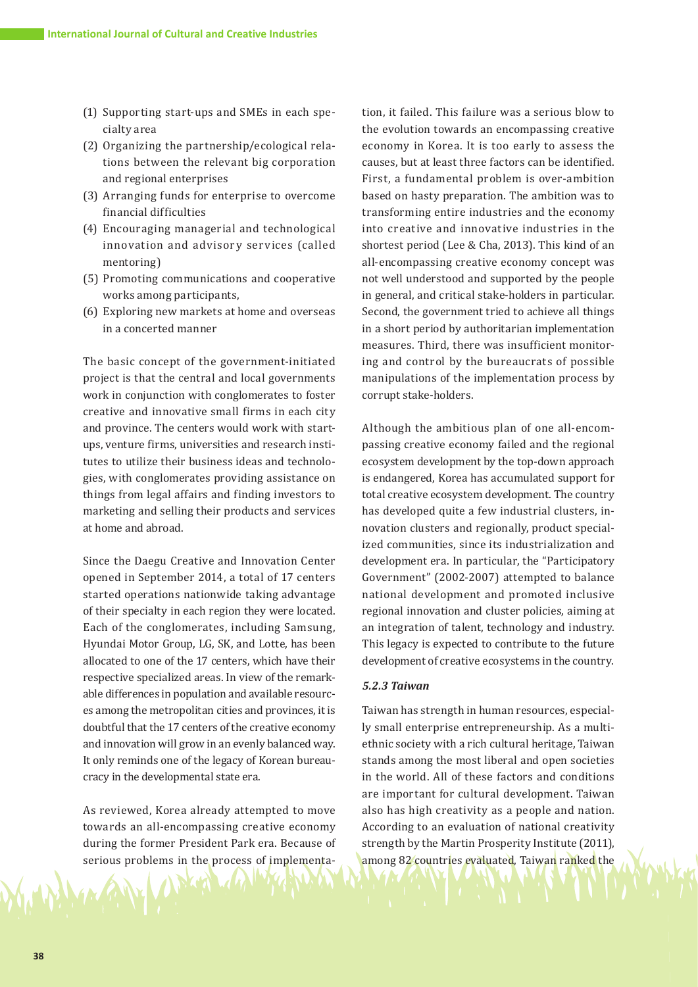- (1) Supporting start-ups and SMEs in each specialty area
- (2) Organizing the partnership/ecological relations between the relevant big corporation and regional enterprises
- (3) Arranging funds for enterprise to overcome financial difficulties
- (4) Encouraging managerial and technological innovation and advisory services (called mentoring)
- (5) Promoting communications and cooperative works among participants,
- (6) Exploring new markets at home and overseas in a concerted manner

The basic concept of the government-initiated project is that the central and local governments work in conjunction with conglomerates to foster creative and innovative small firms in each city and province. The centers would work with startups, venture firms, universities and research institutes to utilize their business ideas and technologies, with conglomerates providing assistance on things from legal affairs and finding investors to marketing and selling their products and services at home and abroad.

Since the Daegu Creative and Innovation Center opened in September 2014, a total of 17 centers started operations nationwide taking advantage of their specialty in each region they were located. Each of the conglomerates, including Samsung, Hyundai Motor Group, LG, SK, and Lotte, has been allocated to one of the 17 centers, which have their respective specialized areas. In view of the remarkable differences in population and available resources among the metropolitan cities and provinces, it is doubtful that the 17 centers of the creative economy and innovation will grow in an evenly balanced way. It only reminds one of the legacy of Korean bureaucracy in the developmental state era.

As reviewed, Korea already attempted to move towards an all-encompassing creative economy during the former President Park era. Because of serious problems in the process of implementa-

tion, it failed. This failure was a serious blow to the evolution towards an encompassing creative economy in Korea. It is too early to assess the causes, but at least three factors can be identified. First, a fundamental problem is over-ambition based on hasty preparation. The ambition was to transforming entire industries and the economy into creative and innovative industries in the shortest period (Lee & Cha, 2013). This kind of an all-encompassing creative economy concept was not well understood and supported by the people in general, and critical stake-holders in particular. Second, the government tried to achieve all things in a short period by authoritarian implementation measures. Third, there was insufficient monitoring and control by the bureaucrats of possible manipulations of the implementation process by corrupt stake-holders.

Although the ambitious plan of one all-encompassing creative economy failed and the regional ecosystem development by the top-down approach is endangered, Korea has accumulated support for total creative ecosystem development. The country has developed quite a few industrial clusters, innovation clusters and regionally, product specialized communities, since its industrialization and development era. In particular, the "Participatory Government" (2002-2007) attempted to balance national development and promoted inclusive regional innovation and cluster policies, aiming at an integration of talent, technology and industry. This legacy is expected to contribute to the future development of creative ecosystems in the country.

# *5.2.3 Taiwan*

Taiwan has strength in human resources, especially small enterprise entrepreneurship. As a multiethnic society with a rich cultural heritage, Taiwan stands among the most liberal and open societies in the world. All of these factors and conditions are important for cultural development. Taiwan also has high creativity as a people and nation. According to an evaluation of national creativity strength by the Martin Prosperity Institute (2011), among 82 countries evaluated, Taiwan ranked the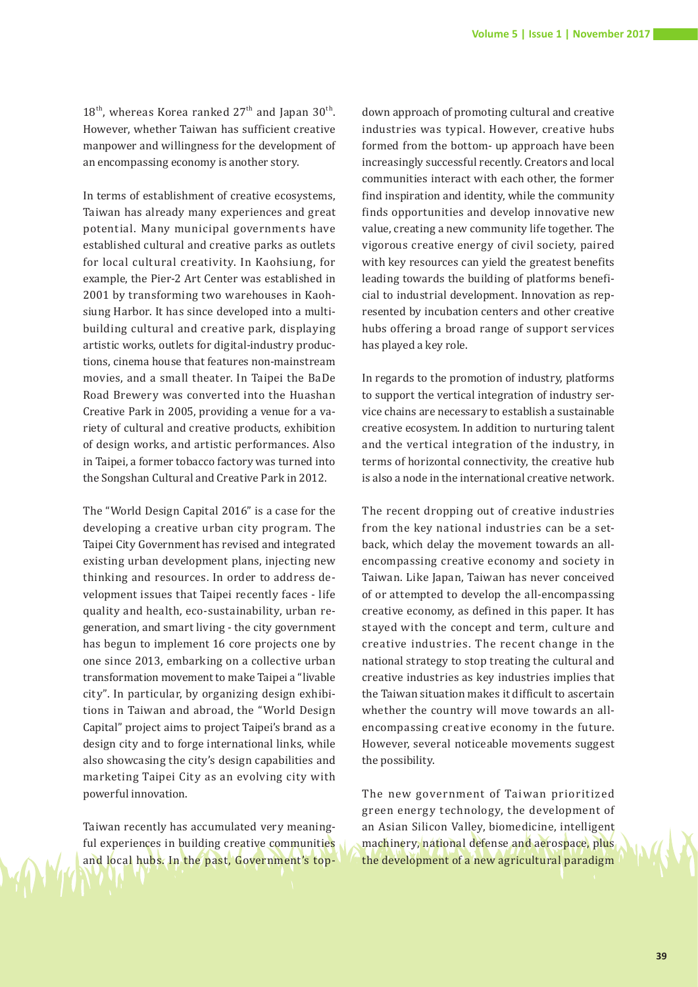$18<sup>th</sup>$ , whereas Korea ranked  $27<sup>th</sup>$  and Japan  $30<sup>th</sup>$ . However, whether Taiwan has sufficient creative manpower and willingness for the development of an encompassing economy is another story.

In terms of establishment of creative ecosystems, Taiwan has already many experiences and great potential. Many municipal governments have established cultural and creative parks as outlets for local cultural creativity. In Kaohsiung, for example, the Pier-2 Art Center was established in 2001 by transforming two warehouses in Kaohsiung Harbor. It has since developed into a multibuilding cultural and creative park, displaying artistic works, outlets for digital-industry productions, cinema house that features non-mainstream movies, and a small theater. In Taipei the BaDe Road Brewery was converted into the Huashan Creative Park in 2005, providing a venue for a variety of cultural and creative products, exhibition of design works, and artistic performances. Also in Taipei, a former tobacco factory was turned into the Songshan Cultural and Creative Park in 2012.

The "World Design Capital 2016" is a case for the developing a creative urban city program. The Taipei City Government has revised and integrated existing urban development plans, injecting new thinking and resources. In order to address development issues that Taipei recently faces - life quality and health, eco-sustainability, urban regeneration, and smart living - the city government has begun to implement 16 core projects one by one since 2013, embarking on a collective urban transformation movement to make Taipei a "livable city". In particular, by organizing design exhibitions in Taiwan and abroad, the "World Design Capital" project aims to project Taipei's brand as a design city and to forge international links, while also showcasing the city's design capabilities and marketing Taipei City as an evolving city with powerful innovation.

Taiwan recently has accumulated very meaningful experiences in building creative communities and local hubs. In the past, Government's top-

down approach of promoting cultural and creative industries was typical. However, creative hubs formed from the bottom- up approach have been increasingly successful recently. Creators and local communities interact with each other, the former find inspiration and identity, while the community finds opportunities and develop innovative new value, creating a new community life together. The vigorous creative energy of civil society, paired with key resources can yield the greatest benefits leading towards the building of platforms beneficial to industrial development. Innovation as represented by incubation centers and other creative hubs offering a broad range of support services has played a key role.

In regards to the promotion of industry, platforms to support the vertical integration of industry service chains are necessary to establish a sustainable creative ecosystem. In addition to nurturing talent and the vertical integration of the industry, in terms of horizontal connectivity, the creative hub is also a node in the international creative network.

The recent dropping out of creative industries from the key national industries can be a setback, which delay the movement towards an allencompassing creative economy and society in Taiwan. Like Japan, Taiwan has never conceived of or attempted to develop the all-encompassing creative economy, as defined in this paper. It has stayed with the concept and term, culture and creative industries. The recent change in the national strategy to stop treating the cultural and creative industries as key industries implies that the Taiwan situation makes it difficult to ascertain whether the country will move towards an allencompassing creative economy in the future. However, several noticeable movements suggest the possibility.

The new government of Taiwan prioritized green energy technology, the development of an Asian Silicon Valley, biomedicine, intelligent machinery, national defense and aerospace, plus the development of a new agricultural paradigm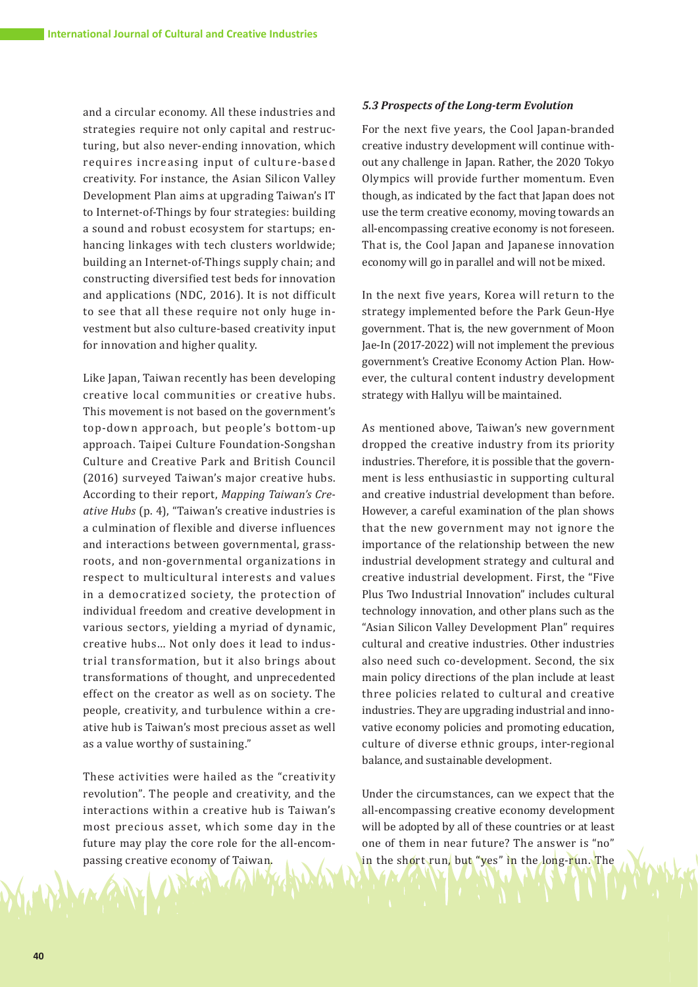and a circular economy. All these industries and strategies require not only capital and restructuring, but also never-ending innovation, which requires increasing input of culture-based creativity. For instance, the Asian Silicon Valley Development Plan aims at upgrading Taiwan's IT to Internet-of-Things by four strategies: building a sound and robust ecosystem for startups; enhancing linkages with tech clusters worldwide; building an Internet-of-Things supply chain; and constructing diversified test beds for innovation and applications (NDC, 2016). It is not difficult to see that all these require not only huge investment but also culture-based creativity input for innovation and higher quality.

Like Japan, Taiwan recently has been developing creative local communities or creative hubs. This movement is not based on the government's top-down approach, but people's bottom-up approach. Taipei Culture Foundation-Songshan Culture and Creative Park and British Council (2016) surveyed Taiwan's major creative hubs. According to their report, *Mapping Taiwan's Creative Hubs* (p. 4), "Taiwan's creative industries is a culmination of flexible and diverse influences and interactions between governmental, grassroots, and non-governmental organizations in respect to multicultural interests and values in a democratized society, the protection of individual freedom and creative development in various sectors, yielding a myriad of dynamic, creative hubs… Not only does it lead to industrial transformation, but it also brings about transformations of thought, and unprecedented effect on the creator as well as on society. The people, creativity, and turbulence within a creative hub is Taiwan's most precious asset as well as a value worthy of sustaining."

These activities were hailed as the "creativity revolution". The people and creativity, and the interactions within a creative hub is Taiwan's most precious asset, which some day in the future may play the core role for the all-encompassing creative economy of Taiwan.

#### *5.3 Prospects of the Long-term Evolution*

For the next five years, the Cool Japan-branded creative industry development will continue without any challenge in Japan. Rather, the 2020 Tokyo Olympics will provide further momentum. Even though, as indicated by the fact that Japan does not use the term creative economy, moving towards an all-encompassing creative economy is not foreseen. That is, the Cool Japan and Japanese innovation economy will go in parallel and will not be mixed.

In the next five years, Korea will return to the strategy implemented before the Park Geun-Hye government. That is, the new government of Moon Jae-In (2017-2022) will not implement the previous government's Creative Economy Action Plan. However, the cultural content industry development strategy with Hallyu will be maintained.

As mentioned above, Taiwan's new government dropped the creative industry from its priority industries. Therefore, it is possible that the government is less enthusiastic in supporting cultural and creative industrial development than before. However, a careful examination of the plan shows that the new government may not ignore the importance of the relationship between the new industrial development strategy and cultural and creative industrial development. First, the "Five Plus Two Industrial Innovation" includes cultural technology innovation, and other plans such as the "Asian Silicon Valley Development Plan" requires cultural and creative industries. Other industries also need such co-development. Second, the six main policy directions of the plan include at least three policies related to cultural and creative industries. They are upgrading industrial and innovative economy policies and promoting education, culture of diverse ethnic groups, inter-regional balance, and sustainable development.

Under the circumstances, can we expect that the all-encompassing creative economy development will be adopted by all of these countries or at least one of them in near future? The answer is "no" in the short run, but "yes" in the long-run. The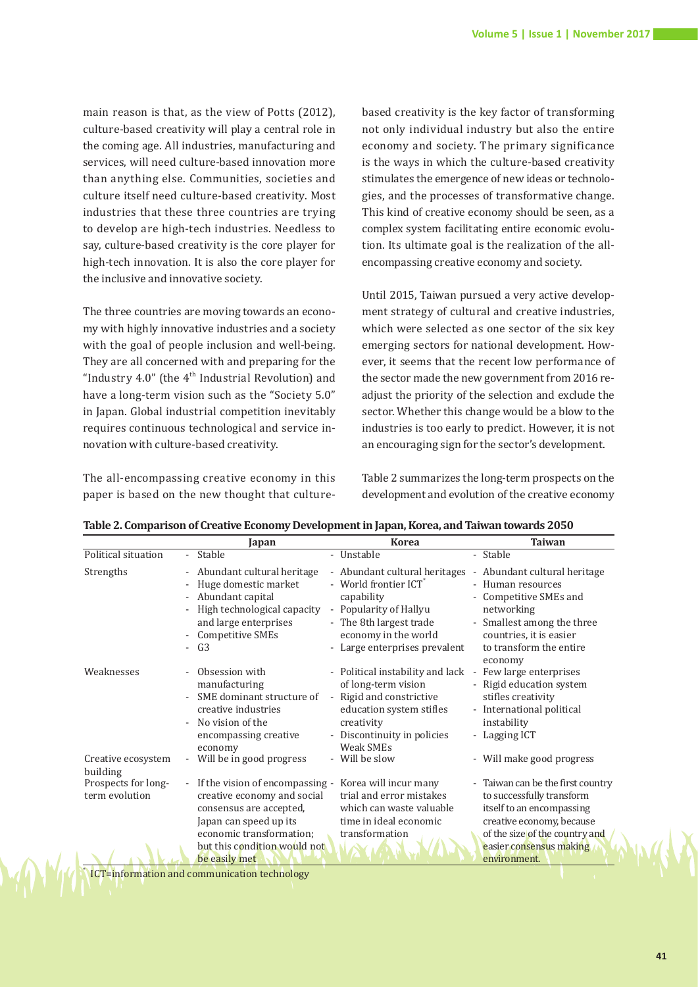main reason is that, as the view of Potts (2012), culture-based creativity will play a central role in the coming age. All industries, manufacturing and services, will need culture-based innovation more than anything else. Communities, societies and culture itself need culture-based creativity. Most industries that these three countries are trying to develop are high-tech industries. Needless to say, culture-based creativity is the core player for high-tech innovation. It is also the core player for the inclusive and innovative society.

The three countries are moving towards an economy with highly innovative industries and a society with the goal of people inclusion and well-being. They are all concerned with and preparing for the "Industry 4.0" (the  $4<sup>th</sup>$  Industrial Revolution) and have a long-term vision such as the "Society 5.0" in Japan. Global industrial competition inevitably requires continuous technological and service innovation with culture-based creativity.

The all-encompassing creative economy in this paper is based on the new thought that culture-

based creativity is the key factor of transforming not only individual industry but also the entire economy and society. The primary significance is the ways in which the culture-based creativity stimulates the emergence of new ideas or technologies, and the processes of transformative change. This kind of creative economy should be seen, as a complex system facilitating entire economic evolution. Its ultimate goal is the realization of the allencompassing creative economy and society.

Until 2015, Taiwan pursued a very active development strategy of cultural and creative industries, which were selected as one sector of the six key emerging sectors for national development. However, it seems that the recent low performance of the sector made the new government from 2016 readjust the priority of the selection and exclude the sector. Whether this change would be a blow to the industries is too early to predict. However, it is not an encouraging sign for the sector's development.

Table 2 summarizes the long-term prospects on the development and evolution of the creative economy

|                                       | Japan                                                                                                                                                                         | <b>Korea</b>                                                                                                                                                                                   | <b>Taiwan</b>                                                                                                                                                                            |
|---------------------------------------|-------------------------------------------------------------------------------------------------------------------------------------------------------------------------------|------------------------------------------------------------------------------------------------------------------------------------------------------------------------------------------------|------------------------------------------------------------------------------------------------------------------------------------------------------------------------------------------|
| Political situation                   | - Stable                                                                                                                                                                      | - Unstable                                                                                                                                                                                     | - Stable                                                                                                                                                                                 |
| Strengths                             | Abundant cultural heritage<br>Huge domestic market<br>- Abundant capital<br>High technological capacity<br>and large enterprises<br><b>Competitive SMEs</b><br>G <sub>3</sub> | - Abundant cultural heritages<br>- World frontier ICT <sup>*</sup><br>capability<br>- Popularity of Hallyu<br>- The 8th largest trade<br>economy in the world<br>- Large enterprises prevalent | - Abundant cultural heritage<br>- Human resources<br>- Competitive SMEs and<br>networking<br>- Smallest among the three<br>countries, it is easier<br>to transform the entire<br>economy |
| Weaknesses                            | Obsession with<br>manufacturing<br>SME dominant structure of<br>creative industries<br>No vision of the<br>encompassing creative<br>economy                                   | - Political instability and lack<br>of long-term vision<br>- Rigid and constrictive<br>education system stifles<br>creativity<br>- Discontinuity in policies<br>Weak SMEs                      | - Few large enterprises<br>- Rigid education system<br>stifles creativity<br>- International political<br>instability<br>- Lagging ICT                                                   |
| Creative ecosystem<br>building        | Will be in good progress                                                                                                                                                      | - Will be slow                                                                                                                                                                                 | - Will make good progress                                                                                                                                                                |
| Prospects for long-<br>term evolution | If the vision of encompassing -<br>creative economy and social<br>consensus are accepted,<br>Japan can speed up its<br>economic transformation;                               | Korea will incur many<br>trial and error mistakes<br>which can waste valuable<br>time in ideal economic<br>transformation                                                                      | - Taiwan can be the first country<br>to successfully transform<br>itself to an encompassing<br>creative economy, because<br>of the size of the country and                               |
|                                       | but this condition would not<br>be easily met                                                                                                                                 |                                                                                                                                                                                                | easier consensus making<br>environment.                                                                                                                                                  |

**Table 2. Comparison of Creative Economy Development in Japan, Korea, and Taiwan towards 2050** 

ICT=information and communication technology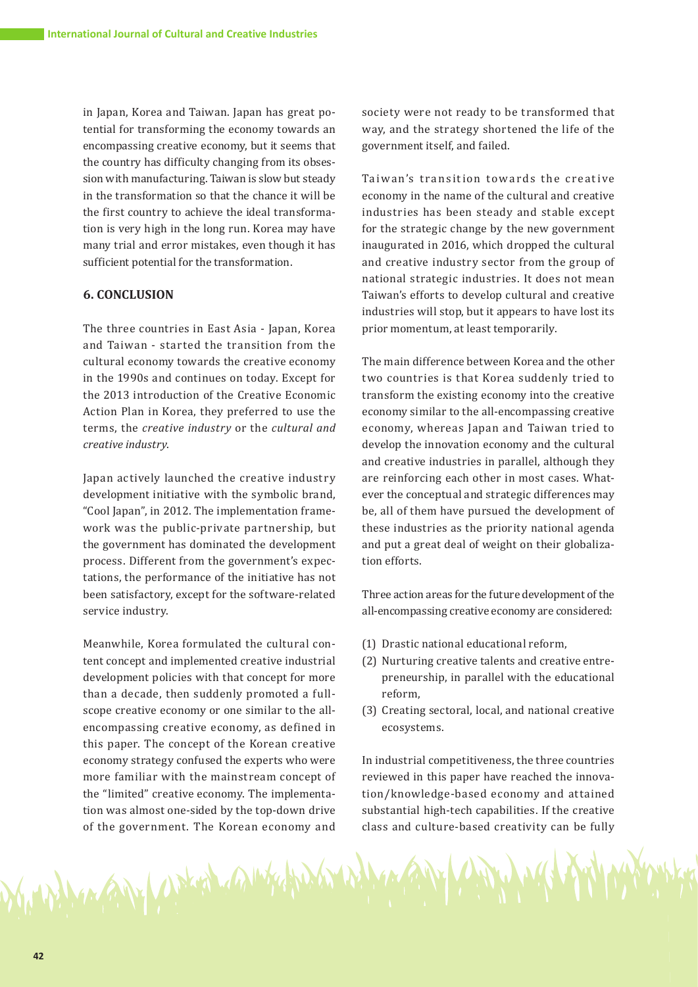in Japan, Korea and Taiwan. Japan has great potential for transforming the economy towards an encompassing creative economy, but it seems that the country has difficulty changing from its obsession with manufacturing. Taiwan is slow but steady in the transformation so that the chance it will be the first country to achieve the ideal transformation is very high in the long run. Korea may have many trial and error mistakes, even though it has sufficient potential for the transformation.

# **6. CONCLUSION**

The three countries in East Asia - Japan, Korea and Taiwan - started the transition from the cultural economy towards the creative economy in the 1990s and continues on today. Except for the 2013 introduction of the Creative Economic Action Plan in Korea, they preferred to use the terms, the *creative industry* or the *cultural and creative industry*.

Japan actively launched the creative industry development initiative with the symbolic brand, "Cool Japan", in 2012. The implementation framework was the public-private partnership, but the government has dominated the development process. Different from the government's expectations, the performance of the initiative has not been satisfactory, except for the software-related service industry.

Meanwhile, Korea formulated the cultural content concept and implemented creative industrial development policies with that concept for more than a decade, then suddenly promoted a fullscope creative economy or one similar to the allencompassing creative economy, as defined in this paper. The concept of the Korean creative economy strategy confused the experts who were more familiar with the mainstream concept of the "limited" creative economy. The implementation was almost one-sided by the top-down drive of the government. The Korean economy and

Market Jacket Ally

society were not ready to be transformed that way, and the strategy shortened the life of the government itself, and failed.

Taiwan's transition towards the creative economy in the name of the cultural and creative industries has been steady and stable except for the strategic change by the new government inaugurated in 2016, which dropped the cultural and creative industry sector from the group of national strategic industries. It does not mean Taiwan's efforts to develop cultural and creative industries will stop, but it appears to have lost its prior momentum, at least temporarily.

The main difference between Korea and the other two countries is that Korea suddenly tried to transform the existing economy into the creative economy similar to the all-encompassing creative economy, whereas Japan and Taiwan tried to develop the innovation economy and the cultural and creative industries in parallel, although they are reinforcing each other in most cases. Whatever the conceptual and strategic differences may be, all of them have pursued the development of these industries as the priority national agenda and put a great deal of weight on their globalization efforts.

Three action areas for the future development of the all-encompassing creative economy are considered:

- (1) Drastic national educational reform,
- (2) Nurturing creative talents and creative entrepreneurship, in parallel with the educational reform,
- (3) Creating sectoral, local, and national creative ecosystems.

In industrial competitiveness, the three countries reviewed in this paper have reached the innovation/knowledge-based economy and attained substantial high-tech capabilities. If the creative class and culture-based creativity can be fully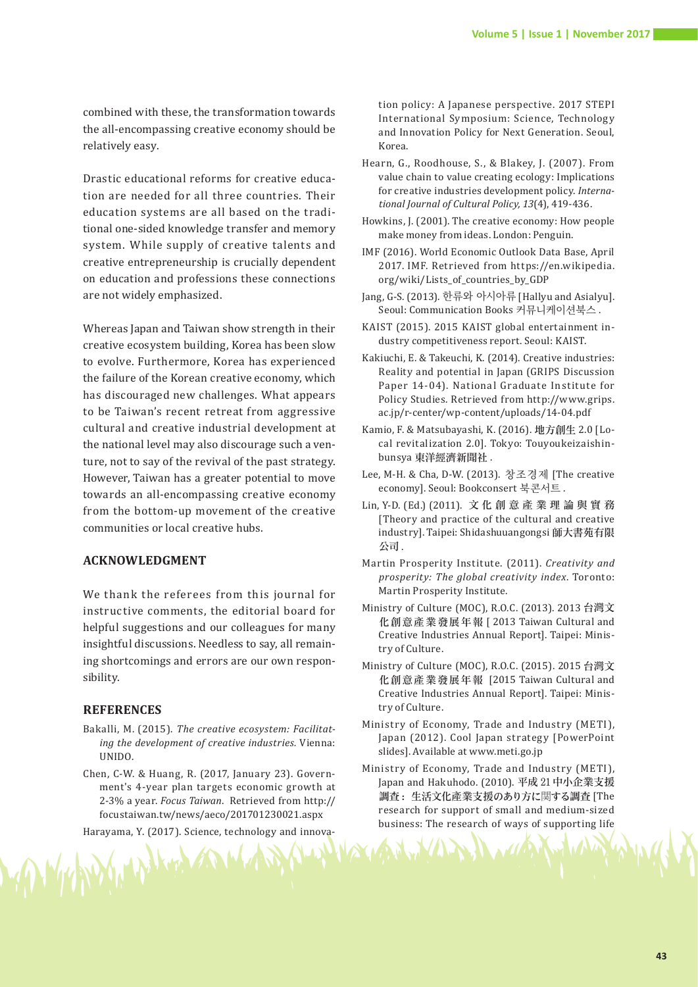combined with these, the transformation towards the all-encompassing creative economy should be relatively easy.

Drastic educational reforms for creative education are needed for all three countries. Their education systems are all based on the traditional one-sided knowledge transfer and memory system. While supply of creative talents and creative entrepreneurship is crucially dependent on education and professions these connections are not widely emphasized.

Whereas Japan and Taiwan show strength in their creative ecosystem building, Korea has been slow to evolve. Furthermore, Korea has experienced the failure of the Korean creative economy, which has discouraged new challenges. What appears to be Taiwan's recent retreat from aggressive cultural and creative industrial development at the national level may also discourage such a venture, not to say of the revival of the past strategy. However, Taiwan has a greater potential to move towards an all-encompassing creative economy from the bottom-up movement of the creative communities or local creative hubs.

# **ACKNOWLEDGMENT**

We thank the referees from this journal for instructive comments, the editorial board for helpful suggestions and our colleagues for many insightful discussions. Needless to say, all remaining shortcomings and errors are our own responsibility.

#### **REFERENCES**

- Bakalli, M. (2015). *The creative ecosystem: Facilitating the development of creative industries.* Vienna: UNIDO.
- Chen, C-W. & Huang, R. (2017, January 23). Government's 4-year plan targets economic growth at 2-3% a year. *Focus Taiwan*. Retrieved from http:// focustaiwan.tw/news/aeco/201701230021.aspx
- Harayama, Y. (2017). Science, technology and innova-

My Higher

tion policy: A Japanese perspective. 2017 STEPI International Symposium: Science, Technology and Innovation Policy for Next Generation. Seoul, Korea.

- Hearn, G., Roodhouse, S., & Blakey, J. (2007). From value chain to value creating ecology: Implications for creative industries development policy. *International Journal of Cultural Policy, 13*(4), 419-436.
- Howkins, J. (2001). The creative economy: How people make money from ideas. London: Penguin.
- IMF (2016). World Economic Outlook Data Base, April 2017. IMF. Retrieved from https://en.wikipedia. org/wiki/Lists\_of\_countries\_by\_GDP
- Jang, G-S. (2013). 한류와 아시아류 [Hallyu and Asialyu]. Seoul: Communication Books 커뮤니케이션북스 .
- KAIST (2015). 2015 KAIST global entertainment industry competitiveness report. Seoul: KAIST.
- Kakiuchi, E. & Takeuchi, K. (2014). Creative industries: Reality and potential in Japan (GRIPS Discussion Paper 14-04). National Graduate Institute for Policy Studies. Retrieved from http://www.grips. ac.jp/r-center/wp-content/uploads/14-04.pdf
- Kamio, F. & Matsubayashi, K. (2016). 地方創生 2.0 [Local revitalization 2.0]. Tokyo: Touyoukeizaishinbunsya 東洋經濟新聞社 .
- Lee, M-H. & Cha, D-W. (2013). 창조경제 [The creative economy]. Seoul: Bookconsert 북콘서트 .
- Lin, Y-D. (Ed.) (2011). 文化創意 產 業 理 論 與 實 務 [Theory and practice of the cultural and creative industry]. Taipei: Shidashuuangongsi 師大書苑有限 公司 .
- Martin Prosperity Institute. (2011). *Creativity and prosperity: The global creativity index*. Toronto: Martin Prosperity Institute.
- Ministry of Culture (MOC), R.O.C. (2013). 2013 台灣文 化創意產業發展年報 [ 2013 Taiwan Cultural and Creative Industries Annual Report]. Taipei: Ministry of Culture.
- Ministry of Culture (MOC), R.O.C. (2015). 2015 台灣文 化創意產業發展年報 [2015 Taiwan Cultural and Creative Industries Annual Report]. Taipei: Ministry of Culture.
- Ministry of Economy, Trade and Industry (METI), Japan (2012). Cool Japan strategy [PowerPoint slides]. Available at www.meti.go.jp
- Ministry of Economy, Trade and Industry (METI), Japan and Hakuhodo. (2010). 平成 21中小企業支援 調查: 生活文化產業支援のあり方に関する調查 [The research for support of small and medium-sized business: The research of ways of supporting life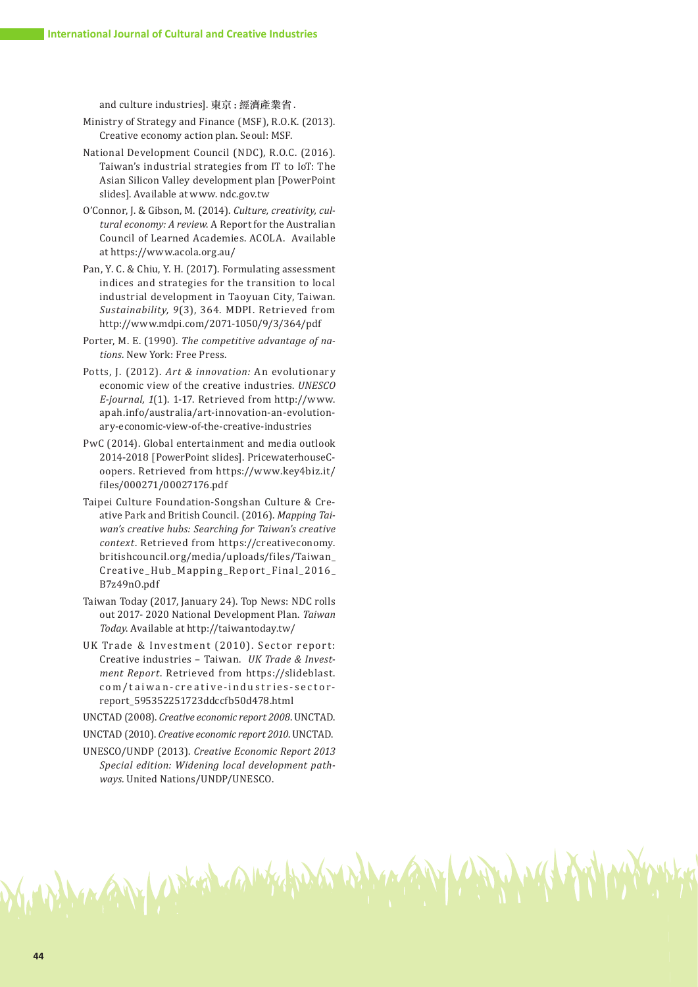and culture industries]. 東京 : 經濟產業省 .

- Ministry of Strategy and Finance (MSF), R.O.K. (2013). Creative economy action plan. Seoul: MSF.
- National Development Council (NDC), R.O.C. (2016). Taiwan's industrial strategies from IT to IoT: The Asian Silicon Valley development plan [PowerPoint slides]. Available at www. ndc.gov.tw
- O'Connor, J. & Gibson, M. (2014). *Culture, creativity, cultural economy: A review*. A Report for the Australian Council of Learned Academies. ACOLA. Available at https://www.acola.org.au/
- Pan, Y. C. & Chiu, Y. H. (2017). Formulating assessment indices and strategies for the transition to local industrial development in Taoyuan City, Taiwan. *Sustainability, 9*(3), 364. MDPI. Retrieved from http://www.mdpi.com/2071-1050/9/3/364/pdf
- Porter, M. E. (1990). *The competitive advantage of nations*. New York: Free Press.
- Potts, J. (2012). *Art & innovation:* An evolutionary economic view of the creative industries. *UNESCO E-journal, 1*(1). 1-17. Retrieved from http://www. apah.info/australia/art-innovation-an-evolutionary-economic-view-of-the-creative-industries
- PwC (2014). Global entertainment and media outlook 2014-2018 [PowerPoint slides]. PricewaterhouseCoopers. Retrieved from https://www.key4biz.it/ files/000271/00027176.pdf
- Taipei Culture Foundation-Songshan Culture & Creative Park and British Council. (2016). *Mapping Taiwan's creative hubs: Searching for Taiwan's creative context*. Retrieved from https://creativeconomy. britishcouncil.org/media/uploads/files/Taiwan\_ Creative\_Hub\_Mapping\_Report\_Final\_2016\_ B7z49nO.pdf
- Taiwan Today (2017, January 24). Top News: NDC rolls out 2017- 2020 National Development Plan. *Taiwan Today*. Available at http://taiwantoday.tw/
- UK Trade & Investment (2010). Sector report: Creative industries – Taiwan. *UK Trade & Investment Report*. Retrieved from https://slideblast. com/taiwan-creative-industries-sectorreport\_595352251723ddccfb50d478.html

UNCTAD (2008). *Creative economic report 2008*. UNCTAD.

UNCTAD (2010). *Creative economic report 2010*. UNCTAD.

UNESCO/UNDP (2013). *Creative Economic Report 2013 Special edition: Widening local development pathways.* United Nations/UNDP/UNESCO.

MANY WALES MAINT